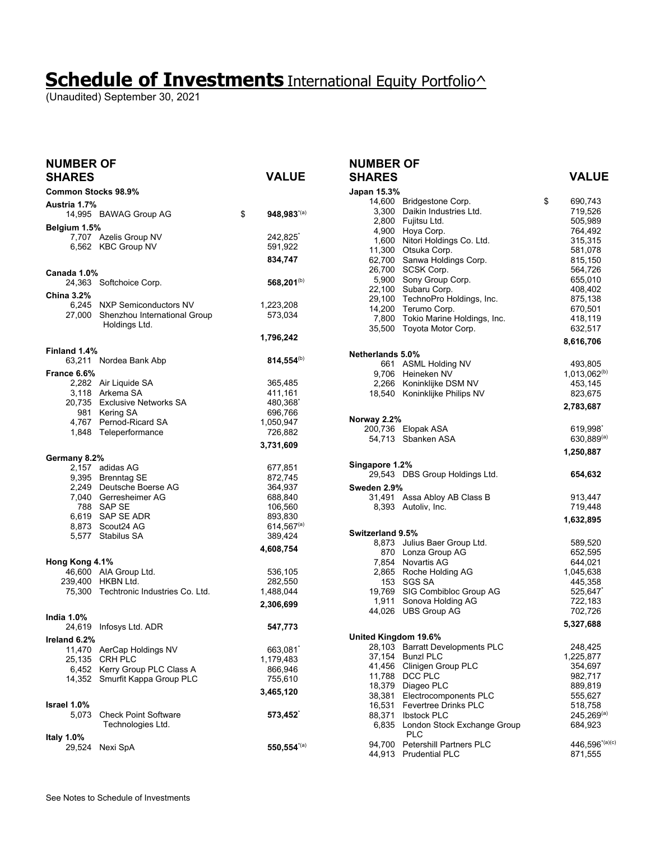(Unaudited) September 30, 2021

| <b>NUMBER OF</b><br><b>SHARES</b> |                                                    | VALUE                   |
|-----------------------------------|----------------------------------------------------|-------------------------|
| <b>Common Stocks 98.9%</b>        |                                                    |                         |
| Austria 1.7%                      |                                                    |                         |
|                                   | 14,995 BAWAG Group AG                              | \$<br>$948,983^{(a)}$   |
| Belgium 1.5%                      | 7,707 Azelis Group NV                              | 242,825                 |
|                                   | 6,562 KBC Group NV                                 | 591,922                 |
|                                   |                                                    | 834,747                 |
| Canada 1.0%                       |                                                    |                         |
|                                   | 24,363 Softchoice Corp.                            | 568,201 <sup>(b)</sup>  |
| <b>China 3.2%</b>                 |                                                    |                         |
|                                   | 6,245 NXP Semiconductors NV                        | 1,223,208               |
| 27,000                            | Shenzhou International Group<br>Holdings Ltd.      | 573,034                 |
|                                   |                                                    | 1,796,242               |
| Finland 1.4%                      |                                                    |                         |
|                                   | 63,211 Nordea Bank Abp                             | $814,554^{(b)}$         |
| France 6.6%                       |                                                    |                         |
|                                   | 2,282 Air Liquide SA                               | 365,485                 |
|                                   | 3,118 Arkema SA                                    | 411,161                 |
|                                   | 20,735 Exclusive Networks SA                       | 480,368                 |
|                                   | 981 Kering SA<br>4,767 Pernod-Ricard SA            | 696,766<br>1,050,947    |
|                                   | 1,848 Teleperformance                              | 726,882                 |
|                                   |                                                    | 3,731,609               |
| Germany 8.2%                      |                                                    |                         |
|                                   | 2,157 adidas AG                                    | 677,851                 |
|                                   | 9,395 Brenntag SE                                  | 872,745                 |
|                                   | 2,249 Deutsche Boerse AG                           | 364,937                 |
|                                   | 7,040 Gerresheimer AG<br>788 SAP SE                | 688,840<br>106,560      |
|                                   | 6,619 SAP SE ADR                                   | 893,830                 |
|                                   | 8,873 Scout24 AG                                   | $614,567^{(a)}$         |
|                                   | 5,577 Stabilus SA                                  | 389,424                 |
|                                   |                                                    | 4,608,754               |
| Hong Kong 4.1%                    |                                                    |                         |
|                                   | 46,600 AIA Group Ltd.<br>239,400 HKBN Ltd.         | 536,105                 |
|                                   | 75,300 Techtronic Industries Co. Ltd.              | 282,550<br>1,488,044    |
|                                   |                                                    | 2,306,699               |
| <b>India 1.0%</b>                 |                                                    |                         |
| 24,619                            | Infosys Ltd. ADR                                   | 547,773                 |
| Ireland 6.2%                      |                                                    |                         |
| 11,470                            | AerCap Holdings NV                                 | 663,081                 |
| 25,135                            | CRH PLC                                            | 1,179,483               |
| 6,452<br>14,352                   | Kerry Group PLC Class A<br>Smurfit Kappa Group PLC | 866,946                 |
|                                   |                                                    | 755,610                 |
|                                   |                                                    | 3,465,120               |
| Israel 1.0%<br>5,073              | <b>Check Point Software</b>                        | 573,452                 |
|                                   | Technologies Ltd.                                  |                         |
| Italy 1.0%                        |                                                    |                         |
| 29,524                            | Nexi SpA                                           | $550,554^{\text{*}(a)}$ |

#### **NUMBER OF SHARES VALUE**

| Japan 15.3%          |                                         |                    |
|----------------------|-----------------------------------------|--------------------|
| 14.600               | Bridgestone Corp.                       | \$<br>690,743      |
| 3,300                | Daikin Industries Ltd.                  | 719,526            |
| 2,800                | Fujitsu Ltd.                            | 505,989            |
|                      | 4,900 Hoya Corp.                        | 764,492            |
| 1,600                | Nitori Holdings Co. Ltd.                | 315,315            |
|                      | 11,300 Otsuka Corp.                     | 581,078            |
| 62,700               | Sanwa Holdings Corp.                    | 815,150            |
| 26,700<br>5,900      | SCSK Corp.<br>Sony Group Corp.          | 564,726<br>655,010 |
| 22,100               | Subaru Corp.                            | 408,402            |
| 29,100               | TechnoPro Holdings, Inc.                | 875,138            |
| 14,200               | Terumo Corp.                            | 670,501            |
| 7,800                | Tokio Marine Holdings, Inc.             | 418,119            |
| 35,500               | Toyota Motor Corp.                      | 632,517            |
|                      |                                         | 8,616,706          |
| Netherlands 5.0%     |                                         |                    |
|                      | 661 ASML Holding NV                     | 493,805            |
|                      | 9,706 Heineken NV                       | $1,013,062^{(b)}$  |
|                      | 2,266 Koninklijke DSM NV                | 453,145            |
| 18,540               | Koninklijke Philips NV                  | 823,675            |
|                      |                                         | 2,783,687          |
| Norway 2.2%          |                                         |                    |
| 200,736              | Elopak ASA                              | 619,998`           |
| 54,713               | Sbanken ASA                             | $630.889^{(a)}$    |
|                      |                                         | 1,250,887          |
| Singapore 1.2%       |                                         |                    |
|                      | 29,543 DBS Group Holdings Ltd.          | 654,632            |
|                      |                                         |                    |
| Sweden 2.9%          | 31,491 Assa Abloy AB Class B            | 913,447            |
|                      | 8,393 Autoliv, Inc.                     | 719,448            |
|                      |                                         |                    |
|                      |                                         | 1,632,895          |
| Switzerland 9.5%     |                                         |                    |
| 8,873                | Julius Baer Group Ltd.                  | 589,520            |
|                      | 870 Lonza Group AG<br>7,854 Novartis AG | 652,595<br>644,021 |
|                      | 2,865 Roche Holding AG                  | 1,045,638          |
|                      | 153 SGS SA                              | 445,358            |
|                      | 19,769 SIG Combibloc Group AG           | 525,647^           |
| 1,911                | Sonova Holding AG                       | 722,183            |
| 44.026               | <b>UBS Group AG</b>                     | 702,726            |
|                      |                                         | 5,327,688          |
| United Kingdom 19.6% |                                         |                    |
| 28,103               | <b>Barratt Developments PLC</b>         | 248,425            |
| 37,154               | <b>Bunzl PLC</b>                        | 1,225,877          |
| 41,456               | Clinigen Group PLC                      | 354,697            |
| 11,788               | DCC PLC                                 | 982,717            |
| 18,379               | Diageo PLC                              | 889,819            |
| 38,381               | Electrocomponents PLC                   | 555,627            |
| 16,531               | <b>Fevertree Drinks PLC</b>             | 518,758            |
| 88,371               | <b>Ibstock PLC</b>                      | $245,269^{(a)}$    |
| 6,835                | London Stock Exchange Group<br>PLC      | 684,923            |
| 94,700               | <b>Petershill Partners PLC</b>          | 446,596*(a)(c)     |
| 44,913               | <b>Prudential PLC</b>                   | 871,555            |
|                      |                                         |                    |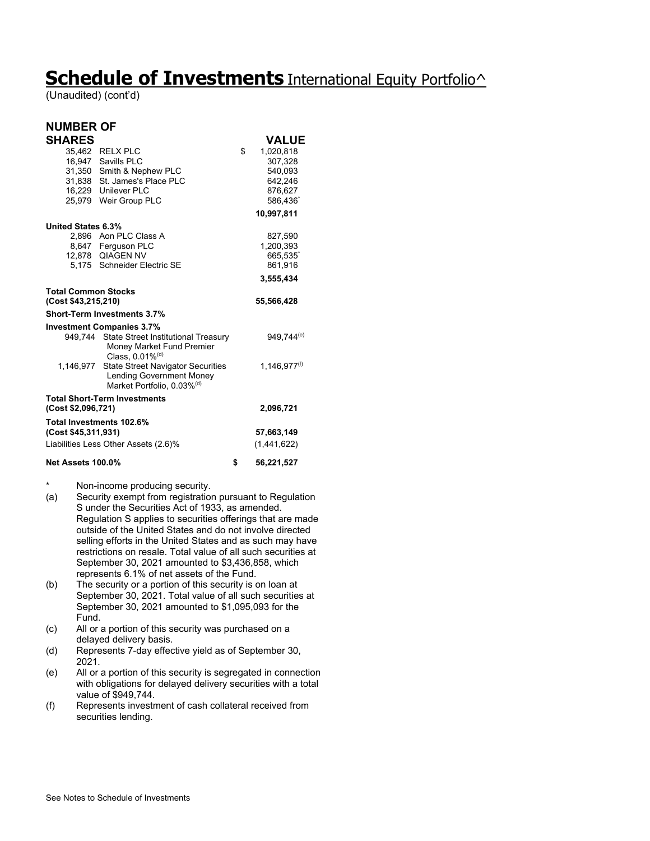(Unaudited) (cont'd)

#### **NUMBER OF SHARES** VALUE

|                            | 35,462 RELX PLC                                                          | \$<br>1,020,818        |
|----------------------------|--------------------------------------------------------------------------|------------------------|
|                            | 16.947 Savills PLC                                                       | 307.328                |
| 31,350                     | Smith & Nephew PLC                                                       | 540,093                |
|                            | 31,838 St. James's Place PLC                                             | 642,246                |
|                            | 16,229 Unilever PLC                                                      | 876,627                |
|                            | 25,979 Weir Group PLC                                                    | 586.436                |
|                            |                                                                          | 10,997,811             |
| <b>United States 6.3%</b>  |                                                                          |                        |
|                            | 2,896 Aon PLC Class A                                                    | 827,590                |
|                            | 8,647 Ferguson PLC                                                       | 1,200,393              |
|                            | 12,878 QIAGEN NV                                                         | 665,535                |
|                            | 5.175 Schneider Electric SE                                              | 861,916                |
|                            |                                                                          | 3,555,434              |
| <b>Total Common Stocks</b> |                                                                          |                        |
| (Cost \$43,215,210)        |                                                                          | 55,566,428             |
|                            | <b>Short-Term Investments 3.7%</b>                                       |                        |
|                            | <b>Investment Companies 3.7%</b>                                         |                        |
|                            | 949,744 State Street Institutional Treasury<br>Money Market Fund Premier | 949,744 <sup>(e)</sup> |
|                            | Class, $0.01\%$ <sup>(d)</sup>                                           |                        |
| 1,146,977                  | <b>State Street Navigator Securities</b>                                 | $1,146,977^{(f)}$      |
|                            | <b>Lending Government Money</b>                                          |                        |
|                            | Market Portfolio, 0.03% <sup>(d)</sup>                                   |                        |
|                            | <b>Total Short-Term Investments</b>                                      |                        |
| (Cost \$2,096,721)         |                                                                          | 2,096,721              |
|                            | Total Investments 102.6%                                                 |                        |
| (Cost \$45,311,931)        |                                                                          | 57,663,149             |
|                            | Liabilities Less Other Assets (2.6)%                                     | (1,441,622)            |
| <b>Net Assets 100.0%</b>   |                                                                          | \$<br>56,221,527       |

\* Non-income producing security.

- (a) Security exempt from registration pursuant to Regulation S under the Securities Act of 1933, as amended. Regulation S applies to securities offerings that are made outside of the United States and do not involve directed selling efforts in the United States and as such may have restrictions on resale. Total value of all such securities at September 30, 2021 amounted to \$3,436,858, which represents 6.1% of net assets of the Fund.
- (b) The security or a portion of this security is on loan at September 30, 2021. Total value of all such securities at September 30, 2021 amounted to \$1,095,093 for the Fund.
- (c) All or a portion of this security was purchased on a delayed delivery basis.
- (d) Represents 7-day effective yield as of September 30, 2021.
- (e) All or a portion of this security is segregated in connection with obligations for delayed delivery securities with a total value of \$949,744.
- (f) Represents investment of cash collateral received from securities lending.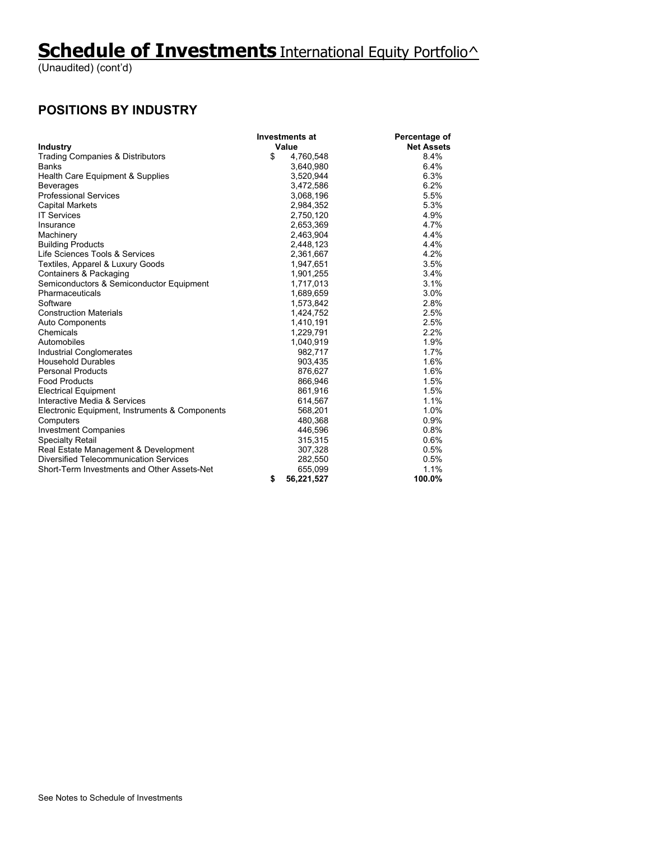(Unaudited) (cont'd)

#### **POSITIONS BY INDUSTRY**

|                                                | <b>Investments at</b> | Percentage of     |
|------------------------------------------------|-----------------------|-------------------|
| <b>Industry</b>                                | Value                 | <b>Net Assets</b> |
| Trading Companies & Distributors               | \$<br>4,760,548       | 8.4%              |
| <b>Banks</b>                                   | 3,640,980             | 6.4%              |
| Health Care Equipment & Supplies               | 3,520,944             | 6.3%              |
| Beverages                                      | 3,472,586             | 6.2%              |
| <b>Professional Services</b>                   | 3,068,196             | 5.5%              |
| <b>Capital Markets</b>                         | 2,984,352             | 5.3%              |
| <b>IT Services</b>                             | 2,750,120             | 4.9%              |
| Insurance                                      | 2,653,369             | 4.7%              |
| Machinery                                      | 2,463,904             | 4.4%              |
| <b>Building Products</b>                       | 2,448,123             | 4.4%              |
| Life Sciences Tools & Services                 | 2,361,667             | 4.2%              |
| Textiles, Apparel & Luxury Goods               | 1,947,651             | 3.5%              |
| Containers & Packaging                         | 1,901,255             | 3.4%              |
| Semiconductors & Semiconductor Equipment       | 1,717,013             | 3.1%              |
| Pharmaceuticals                                | 1,689,659             | 3.0%              |
| Software                                       | 1,573,842             | 2.8%              |
| <b>Construction Materials</b>                  | 1,424,752             | 2.5%              |
| <b>Auto Components</b>                         | 1,410,191             | 2.5%              |
| Chemicals                                      | 1,229,791             | 2.2%              |
| Automobiles                                    | 1,040,919             | 1.9%              |
| Industrial Conglomerates                       | 982,717               | 1.7%              |
| <b>Household Durables</b>                      | 903,435               | 1.6%              |
| <b>Personal Products</b>                       | 876,627               | 1.6%              |
| <b>Food Products</b>                           | 866,946               | 1.5%              |
| <b>Electrical Equipment</b>                    | 861,916               | 1.5%              |
| Interactive Media & Services                   | 614,567               | 1.1%              |
| Electronic Equipment, Instruments & Components | 568,201               | 1.0%              |
| Computers                                      | 480,368               | 0.9%              |
| <b>Investment Companies</b>                    | 446.596               | 0.8%              |
| <b>Specialty Retail</b>                        | 315,315               | 0.6%              |
| Real Estate Management & Development           | 307,328               | 0.5%              |
| <b>Diversified Telecommunication Services</b>  | 282,550               | 0.5%              |
| Short-Term Investments and Other Assets-Net    | 655,099               | 1.1%              |
|                                                | \$<br>56,221,527      | 100.0%            |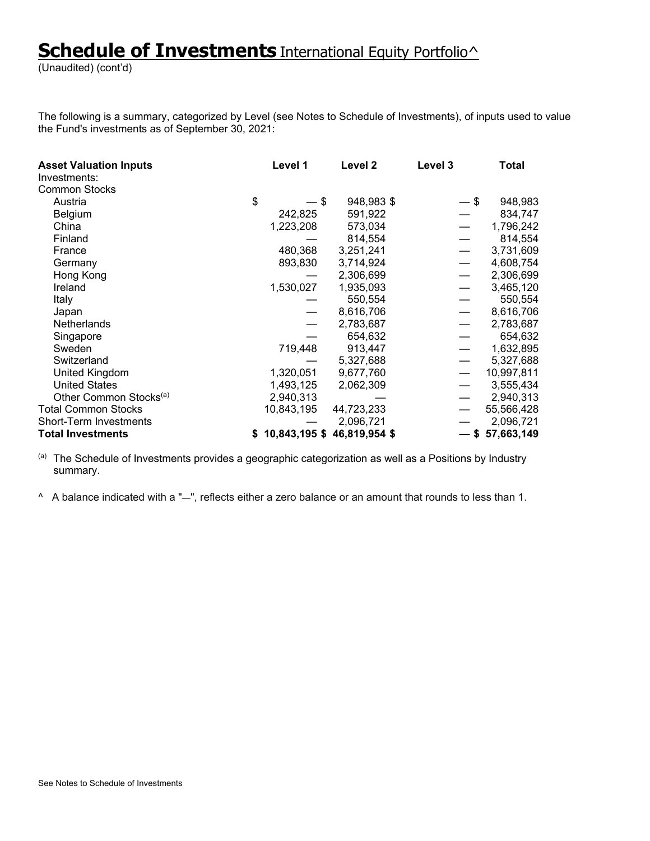(Unaudited) (cont'd)

The following is a summary, categorized by Level (see Notes to Schedule of Investments), of inputs used to value the Fund's investments as of September 30, 2021:

| <b>Asset Valuation Inputs</b>      | Level 1    | Level 2                       | Level 3 | <b>Total</b>      |
|------------------------------------|------------|-------------------------------|---------|-------------------|
| Investments:                       |            |                               |         |                   |
| <b>Common Stocks</b>               |            |                               |         |                   |
| Austria                            | \$<br>— \$ | 948,983 \$                    | $-$ \$  | 948,983           |
| <b>Belgium</b>                     | 242,825    | 591,922                       |         | 834,747           |
| China                              | 1,223,208  | 573,034                       |         | 1,796,242         |
| Finland                            |            | 814,554                       |         | 814,554           |
| France                             | 480,368    | 3,251,241                     |         | 3,731,609         |
| Germany                            | 893,830    | 3,714,924                     |         | 4,608,754         |
| Hong Kong                          |            | 2,306,699                     |         | 2,306,699         |
| Ireland                            | 1,530,027  | 1,935,093                     |         | 3,465,120         |
| Italy                              |            | 550,554                       |         | 550,554           |
| Japan                              |            | 8,616,706                     |         | 8,616,706         |
| <b>Netherlands</b>                 |            | 2,783,687                     |         | 2,783,687         |
| Singapore                          |            | 654,632                       |         | 654,632           |
| Sweden                             | 719,448    | 913,447                       |         | 1,632,895         |
| Switzerland                        |            | 5,327,688                     |         | 5,327,688         |
| United Kingdom                     | 1,320,051  | 9,677,760                     |         | 10,997,811        |
| <b>United States</b>               | 1,493,125  | 2,062,309                     |         | 3,555,434         |
| Other Common Stocks <sup>(a)</sup> | 2,940,313  |                               |         | 2,940,313         |
| <b>Total Common Stocks</b>         | 10,843,195 | 44,723,233                    |         | 55,566,428        |
| <b>Short-Term Investments</b>      |            | 2,096,721                     |         | 2,096,721         |
| <b>Total Investments</b>           |            | $$10,843,195$ \$46,819,954 \$ |         | $-$ \$ 57,663,149 |

(a) The Schedule of Investments provides a geographic categorization as well as a Positions by Industry summary.

^ A balance indicated with a "—", reflects either a zero balance or an amount that rounds to less than 1.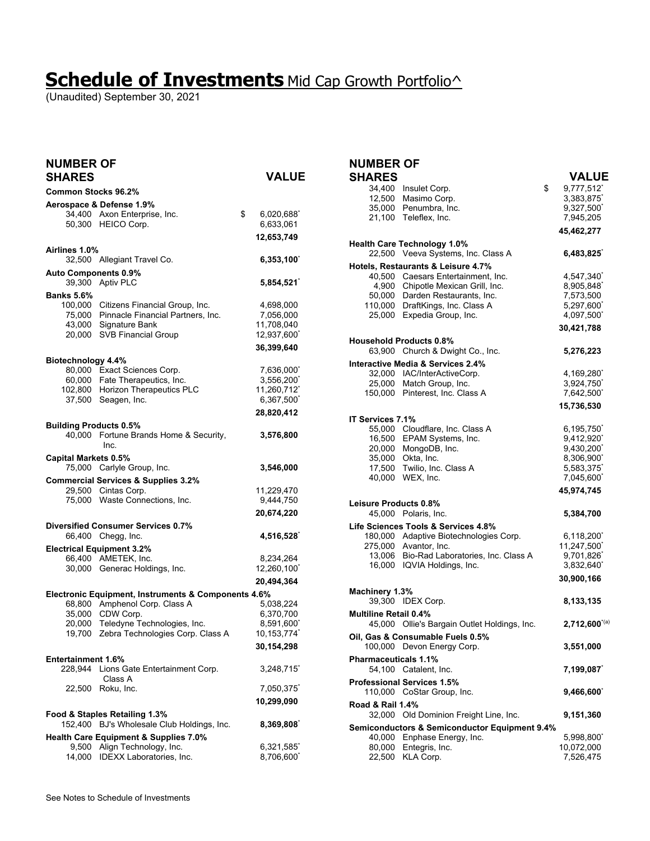## **Schedule of Investments** Mid Cap Growth Portfolio^

(Unaudited) September 30, 2021

| <b>NUMBER OF</b><br><b>SHARES</b>                          |                                                                                                                     | <b>VALUE</b>                                                     |
|------------------------------------------------------------|---------------------------------------------------------------------------------------------------------------------|------------------------------------------------------------------|
| <b>Common Stocks 96.2%</b>                                 |                                                                                                                     |                                                                  |
|                                                            | Aerospace & Defense 1.9%<br>34,400 Axon Enterprise, Inc.<br>50,300 HEICO Corp.                                      | \$<br>6,020,688<br>6,633,061<br>12,653,749                       |
| Airlines 1.0%                                              | 32,500 Allegiant Travel Co.                                                                                         | 6,353,100                                                        |
| <b>Auto Components 0.9%</b>                                | 39,300 Aptiv PLC                                                                                                    | 5,854,521                                                        |
| <b>Banks 5.6%</b><br>100,000<br>75,000<br>43,000<br>20,000 | Citizens Financial Group, Inc.<br>Pinnacle Financial Partners, Inc.<br>Signature Bank<br><b>SVB Financial Group</b> | 4,698,000<br>7,056,000<br>11,708,040<br>12,937,600<br>36,399,640 |
| Biotechnology 4.4%                                         |                                                                                                                     |                                                                  |
| 60,000<br>37,500                                           | 80,000 Exact Sciences Corp.<br>Fate Therapeutics, Inc.<br>102,800 Horizon Therapeutics PLC<br>Seagen, Inc.          | 7,636,000<br>3,556,200<br>11,260,712<br>6,367,500                |
|                                                            |                                                                                                                     | 28,820,412                                                       |
| <b>Building Products 0.5%</b><br>40,000                    | Fortune Brands Home & Security,<br>Inc.                                                                             | 3,576,800                                                        |
| <b>Capital Markets 0.5%</b>                                | 75,000 Carlyle Group, Inc.                                                                                          | 3,546,000                                                        |
|                                                            | <b>Commercial Services &amp; Supplies 3.2%</b><br>29,500 Cintas Corp.<br>75,000 Waste Connections, Inc.             | 11,229,470<br>9,444,750<br>20,674,220                            |
|                                                            | Diversified Consumer Services 0.7%<br>66,400 Chegg, Inc.                                                            | 4,516,528                                                        |
|                                                            | <b>Electrical Equipment 3.2%</b><br>66,400 AMETEK, Inc.<br>30,000 Generac Holdings, Inc.                            | 8,234,264<br>12,260,100<br>20,494,364                            |
|                                                            | Electronic Equipment, Instruments & Components 4.6%                                                                 |                                                                  |
| 68.800<br>35,000<br>20,000                                 | Amphenol Corp. Class A<br>CDW Corp.<br>Teledyne Technologies, Inc.<br>19,700 Zebra Technologies Corp. Class A       | 5,038,224<br>6,370,700<br>8,591,600<br>10,153,774                |
| <b>Entertainment 1.6%</b>                                  |                                                                                                                     | 30,154,298                                                       |
| 228,944                                                    | Lions Gate Entertainment Corp.<br>Class A                                                                           | 3,248,715                                                        |
| 22,500                                                     | Roku, Inc.                                                                                                          | 7,050,375<br>10,299,090                                          |
| 152,400                                                    | Food & Staples Retailing 1.3%<br>BJ's Wholesale Club Holdings, Inc.                                                 | 8,369,808                                                        |
| 9,500<br>14.000                                            | <b>Health Care Equipment &amp; Supplies 7.0%</b><br>Align Technology, Inc.<br>IDEXX Laboratories, Inc.              | 6,321,585<br>8,706,600                                           |

## **NUMBER OF**

| <b>SHARES</b>                |                                                                          | <b>VALUE</b>           |
|------------------------------|--------------------------------------------------------------------------|------------------------|
| 34,400                       | Insulet Corp.                                                            | \$<br>9,777,512        |
| 12,500                       | Masimo Corp.                                                             | 3,383,875              |
| 35,000                       | Penumbra, Inc.                                                           | 9,327,500              |
| 21,100                       | Teleflex, Inc.                                                           | 7,945,205              |
|                              |                                                                          | 45,462,277             |
|                              | <b>Health Care Technology 1.0%</b>                                       |                        |
|                              | 22,500 Veeva Systems, Inc. Class A                                       | 6,483,825              |
|                              | Hotels, Restaurants & Leisure 4.7%<br>40,500 Caesars Entertainment, Inc. |                        |
|                              | 4,900 Chipotle Mexican Grill, Inc.                                       | 4,547,340<br>8,905,848 |
|                              | 50,000 Darden Restaurants, Inc.                                          | 7,573,500              |
|                              | 110,000 DraftKings, Inc. Class A                                         | 5,297,600              |
| 25,000                       | Expedia Group, Inc.                                                      | 4,097,500              |
|                              |                                                                          | 30,421,788             |
|                              | <b>Household Products 0.8%</b>                                           |                        |
|                              | 63,900 Church & Dwight Co., Inc.                                         | 5,276,223              |
|                              | Interactive Media & Services 2.4%                                        |                        |
|                              | 32,000 IAC/InterActiveCorp.                                              | 4,169,280              |
|                              | 25,000 Match Group, Inc.                                                 | 3,924,750              |
|                              | 150,000 Pinterest, Inc. Class A                                          | 7,642,500              |
|                              |                                                                          | 15,736,530             |
| IT Services 7.1%             |                                                                          |                        |
|                              | 55,000 Cloudflare, Inc. Class A<br>16,500 EPAM Systems, Inc.             | 6,195,750<br>9,412,920 |
|                              | 20,000 MongoDB, Inc.                                                     | 9,430,200              |
| 35,000                       | Okta, Inc.                                                               | 8,306,900              |
|                              | 17,500 Twilio, Inc. Class A                                              | 5,583,375              |
|                              | 40,000 WEX, Inc.                                                         | 7,045,600              |
|                              |                                                                          | 45,974,745             |
| Leisure Products 0.8%        |                                                                          |                        |
|                              | 45,000 Polaris, Inc.                                                     | 5,384,700              |
|                              | Life Sciences Tools & Services 4.8%                                      |                        |
|                              | 180,000 Adaptive Biotechnologies Corp.                                   | $6,118,200^{\degree}$  |
|                              | 275,000 Avantor, Inc.                                                    | 11,247,500             |
|                              | 13,006 Bio-Rad Laboratories, Inc. Class A                                | 9,701,826              |
|                              | 16,000 IQVIA Holdings, Inc.                                              | 3,832,640              |
|                              |                                                                          | 30,900,166             |
| Machinery 1.3%               | 39,300 IDEX Corp.                                                        | 8,133,135              |
| <b>Multiline Retail 0.4%</b> |                                                                          |                        |
|                              | 45,000 Ollie's Bargain Outlet Holdings, Inc.                             | $2,712,600^{(a)}$      |
|                              | Oil, Gas & Consumable Fuels 0.5%                                         |                        |
|                              | 100,000 Devon Energy Corp.                                               | 3,551,000              |
| <b>Pharmaceuticals 1.1%</b>  |                                                                          |                        |
|                              | 54,100 Catalent, Inc.                                                    | 7,199,087              |
|                              | <b>Professional Services 1.5%</b><br>110,000 CoStar Group, Inc.          | 9,466,600              |
| Road & Rail 1.4%             |                                                                          |                        |
| 32,000                       | Old Dominion Freight Line, Inc.                                          | 9,151,360              |
|                              | <b>Semiconductors &amp; Semiconductor Equipment 9.4%</b>                 |                        |
|                              | 40,000 Enphase Energy, Inc.                                              | 5,998,800              |
| 80,000                       | Entegris, Inc.                                                           | 10,072,000             |
| 22,500                       | KLA Corp.                                                                | 7,526,475              |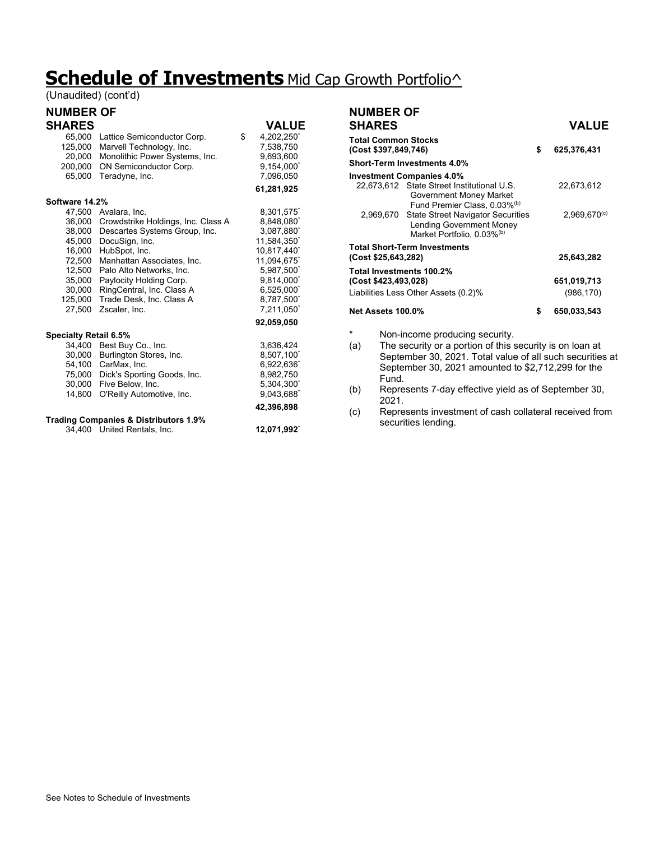# **Schedule of Investments** Mid Cap Growth Portfolio^

(Unaudited) (cont'd)

#### **NUMBER OF**

| <b>SHARES</b>                |                                                  | <b>VALUE</b>    |
|------------------------------|--------------------------------------------------|-----------------|
| 65,000                       | Lattice Semiconductor Corp.                      | \$<br>4,202,250 |
| 125,000                      | Marvell Technology, Inc.                         | 7,538,750       |
| 20,000                       | Monolithic Power Systems, Inc.                   | 9,693,600       |
| 200,000                      | ON Semiconductor Corp.                           | 9,154,000       |
| 65,000                       | Teradyne, Inc.                                   | 7,096,050       |
|                              |                                                  | 61,281,925      |
| Software 14.2%               |                                                  |                 |
| 47,500                       | Avalara, Inc.                                    | 8,301,575       |
| 36,000                       | Crowdstrike Holdings, Inc. Class A               | 8,848,080       |
| 38,000                       | Descartes Systems Group, Inc.                    | 3,087,880       |
| 45,000                       | DocuSign, Inc.                                   | 11,584,350      |
| 16,000                       | HubSpot, Inc.                                    | 10.817.440      |
| 72,500                       | Manhattan Associates, Inc.                       | 11,094,675*     |
| 12,500                       | Palo Alto Networks, Inc.                         | 5,987,500       |
| 35,000                       | Paylocity Holding Corp.                          | 9,814,000       |
| 30,000                       | RingCentral, Inc. Class A                        | 6,525,000       |
| 125,000                      | Trade Desk, Inc. Class A                         | 8,787,500       |
| 27,500                       | Zscaler, Inc.                                    | 7,211,050       |
|                              |                                                  | 92,059,050      |
| <b>Specialty Retail 6.5%</b> |                                                  |                 |
| 34,400                       | Best Buy Co., Inc.                               | 3,636,424       |
| 30,000                       | Burlington Stores, Inc.                          | 8,507,100       |
| 54,100                       | CarMax, Inc.                                     | 6,922,636       |
| 75,000                       | Dick's Sporting Goods, Inc.                      | 8,982,750       |
| 30,000                       | Five Below, Inc.                                 | 5,304,300       |
| 14,800                       | O'Reilly Automotive, Inc.                        | 9,043,688       |
|                              |                                                  | 42,396,898      |
|                              | <b>Trading Companies &amp; Distributors 1.9%</b> |                 |
| 34,400                       | United Rentals, Inc.                             | 12,071,992      |

| <b>NUMBER OF</b>         |                                                                                                                                                                                      |                   |
|--------------------------|--------------------------------------------------------------------------------------------------------------------------------------------------------------------------------------|-------------------|
| <b>SHARES</b>            |                                                                                                                                                                                      | <b>VALUE</b>      |
| (Cost \$397,849,746)     | <b>Total Common Stocks</b>                                                                                                                                                           | \$<br>625,376,431 |
|                          | <b>Short-Term Investments 4.0%</b>                                                                                                                                                   |                   |
|                          | <b>Investment Companies 4.0%</b>                                                                                                                                                     |                   |
|                          | 22,673,612 State Street Institutional U.S.<br>Government Money Market<br>Fund Premier Class, 0.03% <sup>(b)</sup>                                                                    | 22.673.612        |
|                          | 2,969,670 State Street Navigator Securities<br><b>Lending Government Money</b><br>Market Portfolio, 0.03%(b)                                                                         | $2.969.670^{(c)}$ |
| (Cost \$25,643,282)      | <b>Total Short-Term Investments</b>                                                                                                                                                  | 25,643,282        |
|                          | Total Investments 100.2%                                                                                                                                                             |                   |
| (Cost \$423,493,028)     |                                                                                                                                                                                      | 651,019,713       |
|                          | Liabilities Less Other Assets (0.2)%                                                                                                                                                 | (986, 170)        |
| <b>Net Assets 100.0%</b> |                                                                                                                                                                                      | \$<br>650.033.543 |
| $\ast$                   | Non-income producing security.                                                                                                                                                       |                   |
| (a)                      | The security or a portion of this security is on loan at<br>September 30, 2021. Total value of all such securities at<br>September 30, 2021 amounted to \$2,712,299 for the<br>Fund. |                   |

(b) Represents 7-day effective yield as of September 30, 2021.

(c) Represents investment of cash collateral received from securities lending.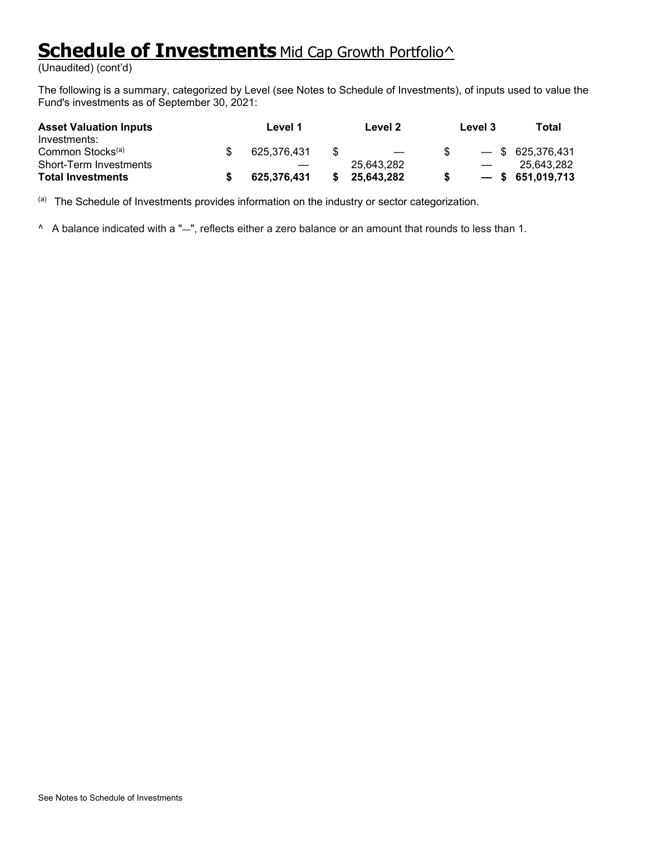# **Schedule of Investments** Mid Cap Growth Portfolio<sup>^</sup>

(Unaudited) (cont'd)

The following is a summary, categorized by Level (see Notes to Schedule of Investments), of inputs used to value the Fund's investments as of September 30, 2021:

| <b>Asset Valuation Inputs</b><br>Investments: | Level 1     |     | Level 2                  | Level 3       | Total              |
|-----------------------------------------------|-------------|-----|--------------------------|---------------|--------------------|
| Common Stocks <sup>(a)</sup>                  | 625.376.431 | \$. | $\overline{\phantom{m}}$ |               | $-$ \$ 625,376,431 |
| <b>Short-Term Investments</b>                 |             |     | 25.643.282               | $\frac{1}{2}$ | 25.643.282         |
| <b>Total Investments</b>                      | 625,376,431 |     | 25,643,282               |               | $-$ \$ 651,019,713 |

(a) The Schedule of Investments provides information on the industry or sector categorization.

^ A balance indicated with a "—", reflects either a zero balance or an amount that rounds to less than 1.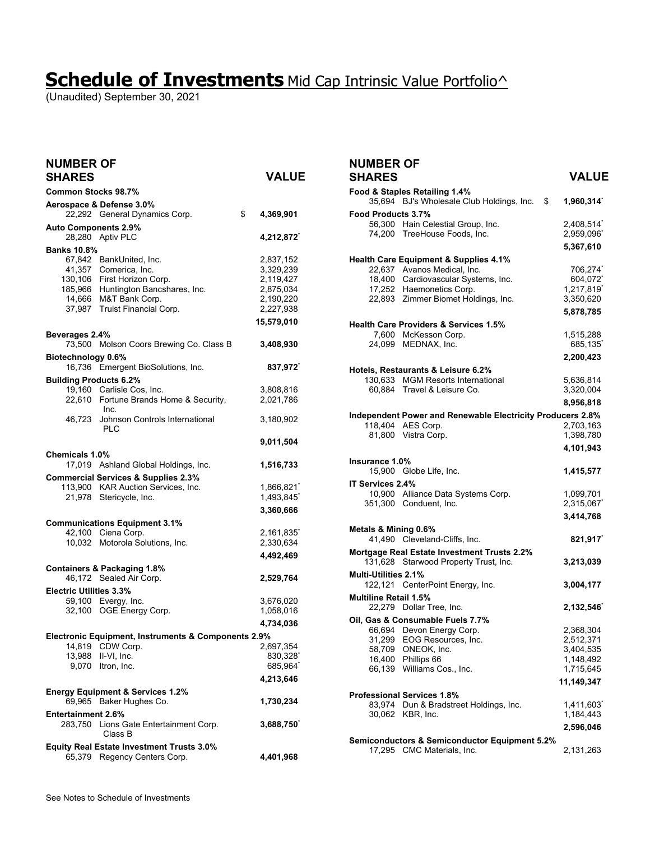## **Schedule of Investments** Mid Cap Intrinsic Value Portfolio^

(Unaudited) September 30, 2021

| <b>NUMBER OF</b><br><b>SHARES</b> |                                                                                                                                                                           | <b>VALUE</b>                                                                             |
|-----------------------------------|---------------------------------------------------------------------------------------------------------------------------------------------------------------------------|------------------------------------------------------------------------------------------|
| <b>Common Stocks 98.7%</b>        |                                                                                                                                                                           |                                                                                          |
|                                   | Aerospace & Defense 3.0%<br>22,292 General Dynamics Corp.                                                                                                                 | \$<br>4,369,901                                                                          |
| <b>Auto Components 2.9%</b>       | 28,280 Aptiv PLC                                                                                                                                                          | 4,212,872                                                                                |
| <b>Banks 10.8%</b><br>37,987      | 67,842 BankUnited, Inc.<br>41,357 Comerica, Inc.<br>130,106 First Horizon Corp.<br>185,966 Huntington Bancshares, Inc.<br>14,666 M&T Bank Corp.<br>Truist Financial Corp. | 2,837,152<br>3,329,239<br>2,119,427<br>2,875,034<br>2,190,220<br>2,227,938<br>15,579,010 |
| Beverages 2.4%                    | 73,500 Molson Coors Brewing Co. Class B                                                                                                                                   | 3,408,930                                                                                |
| Biotechnology 0.6%                | 16,736 Emergent BioSolutions, Inc.                                                                                                                                        | 837,972                                                                                  |
| <b>Building Products 6.2%</b>     | 19,160 Carlisle Cos, Inc.<br>22,610 Fortune Brands Home & Security,<br>Inc.                                                                                               | 3,808,816<br>2,021,786                                                                   |
| 46.723                            | Johnson Controls International<br><b>PLC</b>                                                                                                                              | 3,180,902                                                                                |
|                                   |                                                                                                                                                                           | 9,011,504                                                                                |
| Chemicals 1.0%                    | 17,019 Ashland Global Holdings, Inc.                                                                                                                                      | 1,516,733                                                                                |
|                                   | <b>Commercial Services &amp; Supplies 2.3%</b><br>113,900 KAR Auction Services, Inc.                                                                                      | 1,866,821                                                                                |
|                                   | 21,978 Stericycle, Inc.                                                                                                                                                   | 1,493,845<br>3,360,666                                                                   |
|                                   | <b>Communications Equipment 3.1%</b>                                                                                                                                      |                                                                                          |
|                                   | 42,100 Ciena Corp.                                                                                                                                                        | 2,161,835                                                                                |
|                                   | 10,032 Motorola Solutions, Inc.                                                                                                                                           | 2,330,634                                                                                |
|                                   |                                                                                                                                                                           | 4,492,469                                                                                |
|                                   | <b>Containers &amp; Packaging 1.8%</b>                                                                                                                                    |                                                                                          |
| <b>Electric Utilities 3.3%</b>    | 46,172 Sealed Air Corp.                                                                                                                                                   | 2,529,764                                                                                |
|                                   | 59,100 Evergy, Inc.                                                                                                                                                       | 3,676,020                                                                                |
|                                   | 32,100 OGE Energy Corp.                                                                                                                                                   | 1,058,016                                                                                |
|                                   |                                                                                                                                                                           | 4,734,036                                                                                |
|                                   | Electronic Equipment, Instruments & Components 2.9%                                                                                                                       |                                                                                          |
| 14,819                            | CDW Corp.                                                                                                                                                                 | 2,697,354                                                                                |
| 13,988                            | II-VI, Inc.<br>9,070 Itron, Inc.                                                                                                                                          | 830,328<br>685,964                                                                       |
|                                   |                                                                                                                                                                           | 4,213,646                                                                                |
|                                   | <b>Energy Equipment &amp; Services 1.2%</b><br>69,965 Baker Hughes Co.                                                                                                    | 1,730,234                                                                                |
| <b>Entertainment 2.6%</b>         |                                                                                                                                                                           |                                                                                          |
|                                   | 283,750 Lions Gate Entertainment Corp.<br>Class B                                                                                                                         | 3,688,750                                                                                |
|                                   | Equity Real Estate Investment Trusts 3.0%<br>65,379 Regency Centers Corp.                                                                                                 | 4,401,968                                                                                |

#### **NUMBER OF SHARES VALUE**

|                              | Food & Staples Retailing 1.4%                                           |                        |
|------------------------------|-------------------------------------------------------------------------|------------------------|
|                              | 35,694 BJ's Wholesale Club Holdings, Inc.<br>\$                         | 1,960,314              |
| Food Products 3.7%           |                                                                         |                        |
|                              | 56,300 Hain Celestial Group, Inc.                                       | 2,408,514              |
|                              | 74,200 TreeHouse Foods, Inc.                                            | 2,959,096              |
|                              |                                                                         | 5,367,610              |
|                              | <b>Health Care Equipment &amp; Supplies 4.1%</b>                        |                        |
|                              | 22,637 Avanos Medical, Inc.                                             | 706,274                |
|                              | 18,400 Cardiovascular Systems, Inc.                                     | 604,072                |
|                              | 17,252 Haemonetics Corp.                                                | 1,217,819              |
|                              | 22,893 Zimmer Biomet Holdings, Inc.                                     | 3,350,620              |
|                              |                                                                         | 5,878,785              |
|                              | <b>Health Care Providers &amp; Services 1.5%</b>                        |                        |
|                              | 7,600 McKesson Corp.                                                    | 1,515,288              |
|                              | 24,099 MEDNAX, Inc.                                                     | 685,135                |
|                              |                                                                         | 2,200,423              |
|                              |                                                                         |                        |
|                              | Hotels, Restaurants & Leisure 6.2%<br>130,633 MGM Resorts International | 5,636,814              |
|                              | 60,884 Travel & Leisure Co.                                             | 3,320,004              |
|                              |                                                                         |                        |
|                              |                                                                         | 8,956,818              |
|                              | Independent Power and Renewable Electricity Producers 2.8%              |                        |
|                              | 118,404 AES Corp.<br>81,800 Vistra Corp.                                | 2,703,163<br>1,398,780 |
|                              |                                                                         |                        |
|                              |                                                                         | 4,101,943              |
| lnsurance 1.0%               |                                                                         |                        |
|                              | 15,900 Globe Life, Inc.                                                 | 1,415,577              |
| IT Services 2.4%             |                                                                         |                        |
|                              | 10,900 Alliance Data Systems Corp.                                      | 1,099,701              |
|                              | 351,300 Conduent, Inc.                                                  | 2,315,067              |
|                              |                                                                         | 3,414,768              |
| Metals & Mining 0.6%         |                                                                         |                        |
|                              | 41,490 Cleveland-Cliffs, Inc.                                           | 821,917                |
|                              | Mortgage Real Estate Investment Trusts 2.2%                             |                        |
| 131,628                      | Starwood Property Trust, Inc.                                           | 3,213,039              |
| <b>Multi-Utilities 2.1%</b>  |                                                                         |                        |
|                              | 122,121 CenterPoint Energy, Inc.                                        | 3,004,177              |
| <b>Multiline Retail 1.5%</b> |                                                                         |                        |
|                              | 22,279 Dollar Tree, Inc.                                                | 2,132,546              |
|                              | Oil, Gas & Consumable Fuels 7.7%                                        |                        |
|                              | 66,694 Devon Energy Corp.                                               | 2,368,304              |
|                              | 31,299 EOG Resources, Inc.                                              | 2,512,371              |
|                              | 58,709 ONEOK, Inc.                                                      | 3,404,535              |
|                              | 16,400 Phillips 66                                                      | 1,148,492              |
|                              | 66,139 Williams Cos., Inc.                                              | 1,715,645              |
|                              |                                                                         | 11,149,347             |
|                              | <b>Professional Services 1.8%</b>                                       |                        |
| 83.974                       | Dun & Bradstreet Holdings, Inc.                                         | 1,411,603 $\degree$    |
|                              | 30,062 KBR, Inc.                                                        | 1,184,443              |
|                              |                                                                         | 2,596,046              |
|                              | <b>Semiconductors &amp; Semiconductor Equipment 5.2%</b>                |                        |
|                              | 17,295 CMC Materials, Inc.                                              | 2,131,263              |
|                              |                                                                         |                        |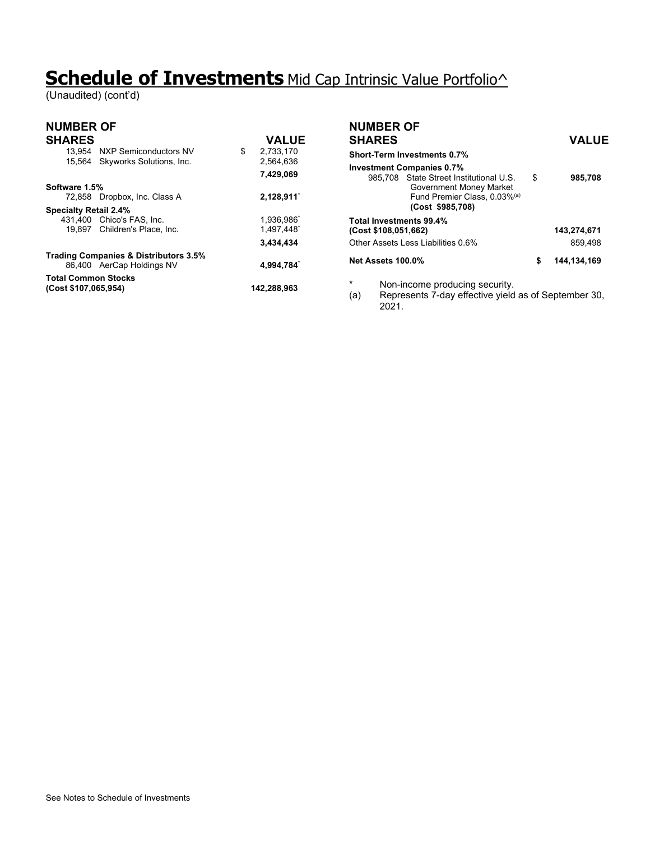## **Schedule of Investments** Mid Cap Intrinsic Value Portfolio^

(Unaudited) (cont'd)

| <b>NUMBER OF</b>                                                              |    |                                     | <b>NUMBER OF</b>                                                                                                  |                     |
|-------------------------------------------------------------------------------|----|-------------------------------------|-------------------------------------------------------------------------------------------------------------------|---------------------|
| <b>SHARES</b>                                                                 |    | <b>VALUE</b>                        | <b>SHARES</b>                                                                                                     | <b>VALUE</b>        |
| 13.954<br>NXP Semiconductors NV<br>Skyworks Solutions, Inc.<br>15.564         | \$ | 2,733,170<br>2,564,636<br>7,429,069 | <b>Short-Term Investments 0.7%</b><br><b>Investment Companies 0.7%</b><br>985.708 State Street Institutional U.S. | \$<br>985,708       |
| Software 1.5%<br>72,858 Dropbox, Inc. Class A<br><b>Specialty Retail 2.4%</b> |    | 2,128,911                           | Government Money Market<br>Fund Premier Class, 0.03% <sup>(a)</sup><br>(Cost \$985,708)                           |                     |
| 431,400 Chico's FAS, Inc.<br>Children's Place, Inc.<br>19.897                 |    | 1,936,986<br>1,497,448              | Total Investments 99.4%<br>(Cost \$108,051,662)                                                                   | 143,274,671         |
|                                                                               |    | 3,434,434                           | Other Assets Less Liabilities 0.6%                                                                                | 859,498             |
| <b>Trading Companies &amp; Distributors 3.5%</b><br>86,400 AerCap Holdings NV |    | 4.994.784                           | Net Assets 100.0%                                                                                                 | \$<br>144, 134, 169 |
| <b>Total Common Stocks</b><br>(Cost \$107,065,954)                            |    | 142,288,963                         | *<br>Non-income producing security.<br>Represents 7-day effective yield as of September 30.<br>(a)<br>2021.       |                     |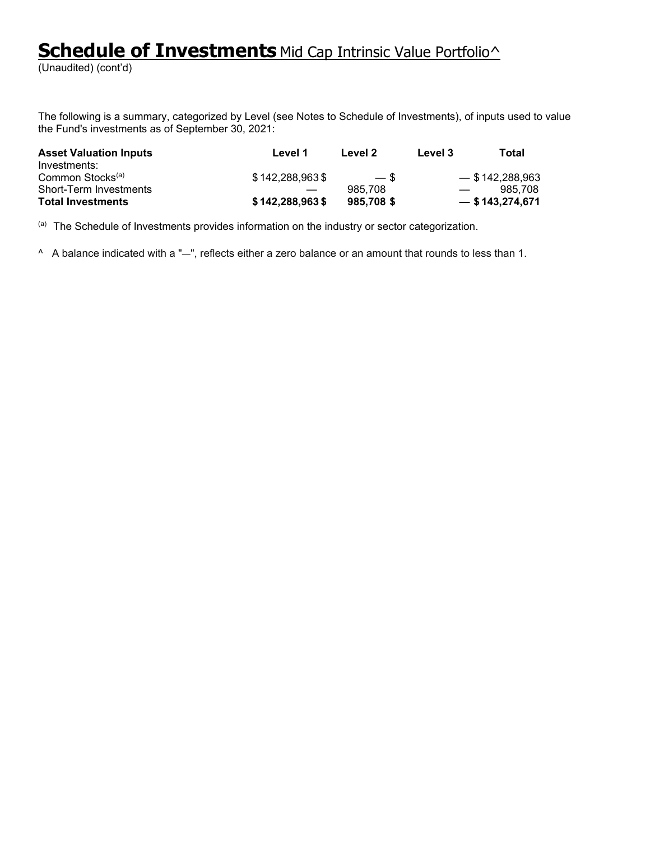# **Schedule of Investments** Mid Cap Intrinsic Value Portfolio<sup>^</sup>

(Unaudited) (cont'd)

The following is a summary, categorized by Level (see Notes to Schedule of Investments), of inputs used to value the Fund's investments as of September 30, 2021:

| <b>Asset Valuation Inputs</b><br>Investments: | Level 1           | Level 2   | Level 3                  | Total             |
|-----------------------------------------------|-------------------|-----------|--------------------------|-------------------|
| Common Stocks <sup>(a)</sup>                  | \$142,288,963\$   | $-$ \$    |                          | $-$ \$142,288,963 |
| Short-Term Investments                        |                   | 985.708   | $\overline{\phantom{a}}$ | 985.708           |
| <b>Total Investments</b>                      | $$142,288,963$ \$ | 985,708\$ |                          | $-$ \$143,274,671 |

(a) The Schedule of Investments provides information on the industry or sector categorization.

^ A balance indicated with a "—", reflects either a zero balance or an amount that rounds to less than 1.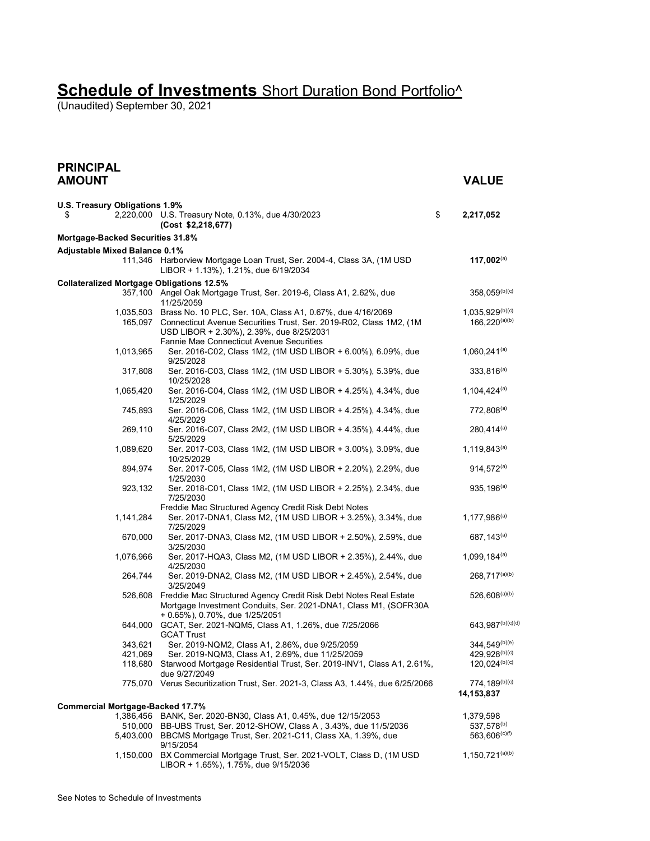(Unaudited) September 30, 2021

| <b>PRINCIPAL</b><br><b>AMOUNT</b>                |                                                                                                                                                                                                 | <b>VALUE</b>                               |
|--------------------------------------------------|-------------------------------------------------------------------------------------------------------------------------------------------------------------------------------------------------|--------------------------------------------|
|                                                  |                                                                                                                                                                                                 |                                            |
| U.S. Treasury Obligations 1.9%<br>\$             | 2,220,000 U.S. Treasury Note, 0.13%, due 4/30/2023<br>(Cost \$2,218,677)                                                                                                                        | \$<br>2,217,052                            |
| Mortgage-Backed Securities 31.8%                 |                                                                                                                                                                                                 |                                            |
| <b>Adjustable Mixed Balance 0.1%</b>             |                                                                                                                                                                                                 |                                            |
|                                                  | 111,346 Harborview Mortgage Loan Trust, Ser. 2004-4, Class 3A, (1M USD<br>LIBOR + 1.13%), 1.21%, due 6/19/2034                                                                                  | 117,002 $(a)$                              |
| <b>Collateralized Mortgage Obligations 12.5%</b> | 357,100 Angel Oak Mortgage Trust, Ser. 2019-6, Class A1, 2.62%, due<br>11/25/2059                                                                                                               | 358,059(b)(c)                              |
|                                                  | 1,035,503 Brass No. 10 PLC, Ser. 10A, Class A1, 0.67%, due 4/16/2069<br>165,097 Connecticut Avenue Securities Trust, Ser. 2019-R02, Class 1M2, (1M)<br>USD LIBOR + 2.30%), 2.39%, due 8/25/2031 | $1,035,929^{(b)(c)}$<br>$166,220^{(a)(b)}$ |
| 1,013,965                                        | Fannie Mae Connecticut Avenue Securities<br>Ser. 2016-C02, Class 1M2, (1M USD LIBOR + 6.00%), 6.09%, due<br>9/25/2028                                                                           | $1,060,241^{(a)}$                          |
| 317,808                                          | Ser. 2016-C03, Class 1M2, (1M USD LIBOR + 5.30%), 5.39%, due<br>10/25/2028                                                                                                                      | $333,816^{(a)}$                            |
| 1,065,420                                        | Ser. 2016-C04, Class 1M2, (1M USD LIBOR + 4.25%), 4.34%, due<br>1/25/2029                                                                                                                       | $1,104,424^{(a)}$                          |
| 745,893                                          | Ser. 2016-C06, Class 1M2, (1M USD LIBOR + 4.25%), 4.34%, due<br>4/25/2029                                                                                                                       | $772,808^{(a)}$                            |
| 269,110                                          | Ser. 2016-C07, Class 2M2, (1M USD LIBOR + 4.35%), 4.44%, due<br>5/25/2029                                                                                                                       | $280,414^{(a)}$                            |
| 1,089,620                                        | Ser. 2017-C03, Class 1M2, (1M USD LIBOR + 3.00%), 3.09%, due<br>10/25/2029                                                                                                                      | $1,119,843^{(a)}$                          |
| 894,974                                          | Ser. 2017-C05, Class 1M2, (1M USD LIBOR + 2.20%), 2.29%, due<br>1/25/2030                                                                                                                       | $914,572^{(a)}$                            |
| 923,132                                          | Ser. 2018-C01, Class 1M2, (1M USD LIBOR + 2.25%), 2.34%, due<br>7/25/2030                                                                                                                       | $935, 196^{(a)}$                           |
|                                                  | Freddie Mac Structured Agency Credit Risk Debt Notes                                                                                                                                            |                                            |
| 1,141,284                                        | Ser. 2017-DNA1, Class M2, (1M USD LIBOR + 3.25%), 3.34%, due<br>7/25/2029                                                                                                                       | $1,177,986^{(a)}$                          |
| 670,000                                          | Ser. 2017-DNA3, Class M2, (1M USD LIBOR + 2.50%), 2.59%, due<br>3/25/2030                                                                                                                       | 687, 143 <sup>(a)</sup>                    |
| 1,076,966                                        | Ser. 2017-HQA3, Class M2, (1M USD LIBOR + 2.35%), 2.44%, due<br>4/25/2030                                                                                                                       | $1,099,184^{(a)}$                          |
| 264,744                                          | Ser. 2019-DNA2, Class M2, (1M USD LIBOR + 2.45%), 2.54%, due<br>3/25/2049                                                                                                                       | $268,717^{(a)(b)}$                         |
| 526,608                                          | Freddie Mac Structured Agency Credit Risk Debt Notes Real Estate<br>Mortgage Investment Conduits, Ser. 2021-DNA1, Class M1, (SOFR30A<br>+ 0.65%), 0.70%, due 1/25/2051                          | $526,608^{(a)(b)}$                         |
| 644,000                                          | GCAT, Ser. 2021-NQM5, Class A1, 1.26%, due 7/25/2066<br><b>GCAT Trust</b>                                                                                                                       | 643,987(b)(c)(d)                           |
| 343,621                                          | Ser. 2019-NQM2, Class A1, 2.86%, due 9/25/2059                                                                                                                                                  | 344, 549(b)(e)                             |
| 421,069                                          | Ser. 2019-NQM3, Class A1, 2.69%, due 11/25/2059                                                                                                                                                 | 429,928(b)(c)                              |
| 118,680                                          | Starwood Mortgage Residential Trust, Ser. 2019-INV1, Class A1, 2.61%,<br>due 9/27/2049                                                                                                          | $120,024^{(b)(c)}$                         |
|                                                  | 775,070 Verus Securitization Trust, Ser. 2021-3, Class A3, 1.44%, due 6/25/2066                                                                                                                 | 774, 189(b)(c)<br>14,153,837               |
| <b>Commercial Mortgage-Backed 17.7%</b>          |                                                                                                                                                                                                 |                                            |
| 1,386,456                                        | BANK, Ser. 2020-BN30, Class A1, 0.45%, due 12/15/2053                                                                                                                                           | 1,379,598                                  |
| 510,000<br>5,403,000                             | BB-UBS Trust, Ser. 2012-SHOW, Class A, 3.43%, due 11/5/2036<br>BBCMS Mortgage Trust, Ser. 2021-C11, Class XA, 1.39%, due<br>9/15/2054                                                           | 537,578(b)<br>563,606 <sup>(c)(f)</sup>    |
| 1,150,000                                        | BX Commercial Mortgage Trust, Ser. 2021-VOLT, Class D, (1M USD<br>LIBOR + 1.65%), 1.75%, due 9/15/2036                                                                                          | $1,150,721^{(a)(b)}$                       |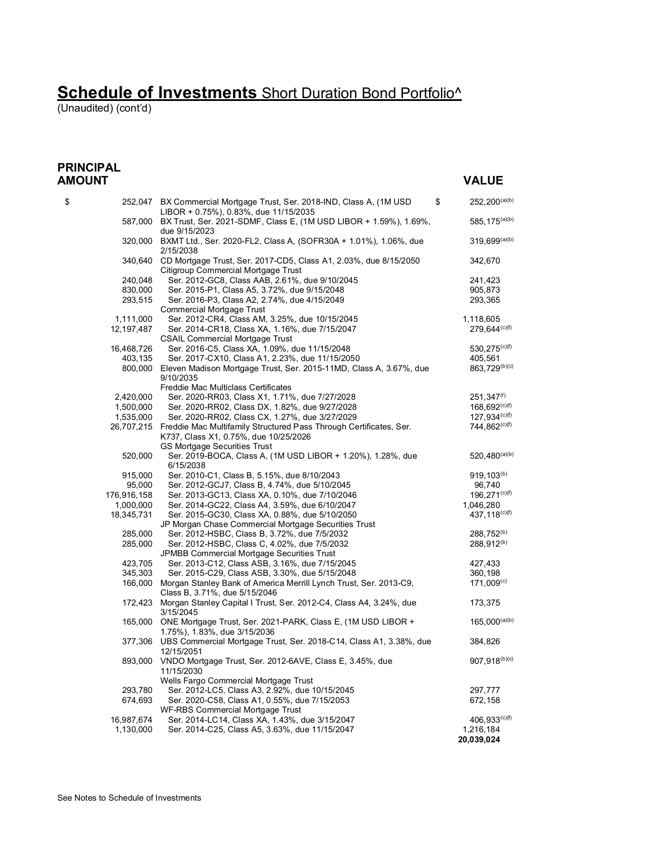(Unaudited) (cont'd)

#### **PRINCIPAL AMOUNT VALUE**

| \$          | \$<br>252,047 BX Commercial Mortgage Trust, Ser. 2018-IND, Class A, (1M USD)<br>LIBOR + 0.75%), 0.83%, due 11/15/2035 | $252,200^{(a)(b)}$         |
|-------------|-----------------------------------------------------------------------------------------------------------------------|----------------------------|
|             | 587,000 BX Trust, Ser. 2021-SDMF, Class E, (1M USD LIBOR + 1.59%), 1.69%,<br>due 9/15/2023                            | 585, 175 <sup>(a)(b)</sup> |
|             | 320,000 BXMT Ltd., Ser. 2020-FL2, Class A, (SOFR30A + 1.01%), 1.06%, due<br>2/15/2038                                 | 319,699(a)(b)              |
|             | 340,640 CD Mortgage Trust, Ser. 2017-CD5, Class A1, 2.03%, due 8/15/2050<br>Citigroup Commercial Mortgage Trust       | 342,670                    |
| 240,048     | Ser. 2012-GC8, Class AAB, 2.61%, due 9/10/2045                                                                        | 241,423                    |
| 830,000     | Ser. 2015-P1, Class A5, 3.72%, due 9/15/2048                                                                          | 905,873                    |
| 293,515     | Ser. 2016-P3, Class A2, 2.74%, due 4/15/2049<br><b>Commercial Mortgage Trust</b>                                      | 293,365                    |
| 1,111,000   | Ser. 2012-CR4, Class AM, 3.25%, due 10/15/2045                                                                        | 1,118,605                  |
| 12,197,487  | Ser. 2014-CR18, Class XA, 1.16%, due 7/15/2047                                                                        | $279,644^{(c)(f)}$         |
|             | <b>CSAIL Commercial Mortgage Trust</b>                                                                                |                            |
| 16,468,726  | Ser. 2016-C5, Class XA, 1.09%, due 11/15/2048                                                                         | $530,275^{(c)(f)}$         |
| 403,135     | Ser. 2017-CX10, Class A1, 2.23%, due 11/15/2050                                                                       | 405,561                    |
| 800,000     | Eleven Madison Mortgage Trust, Ser. 2015-11MD, Class A, 3.67%, due<br>9/10/2035                                       | 863,729 <sup>(b)(c)</sup>  |
|             | Freddie Mac Multiclass Certificates                                                                                   |                            |
| 2,420,000   | Ser. 2020-RR03, Class X1, 1.71%, due 7/27/2028                                                                        | $251,347^{(f)}$            |
| 1,500,000   | Ser. 2020-RR02, Class DX, 1.82%, due 9/27/2028                                                                        | $168,692^{(c)(f)}$         |
| 1,535,000   | Ser. 2020-RR02, Class CX, 1.27%, due 3/27/2029                                                                        | $127,934^{(c)(f)}$         |
| 26,707,215  | Freddie Mac Multifamily Structured Pass Through Certificates, Ser.<br>K737, Class X1, 0.75%, due 10/25/2026           | $744,862^{(c)(f)}$         |
| 520,000     | GS Mortgage Securities Trust<br>Ser. 2019-BOCA, Class A, (1M USD LIBOR + 1.20%), 1.28%, due<br>6/15/2038              | 520, 480 $(a)(b)$          |
| 915,000     | Ser. 2010-C1, Class B, 5.15%, due 8/10/2043                                                                           | $919, 103^{(b)}$           |
| 95,000      | Ser. 2012-GCJ7, Class B, 4.74%, due 5/10/2045                                                                         | 96,740                     |
| 176,916,158 | Ser. 2013-GC13, Class XA, 0.10%, due 7/10/2046                                                                        | $196,271^{(c)(f)}$         |
| 1,000,000   | Ser. 2014-GC22, Class A4, 3.59%, due 6/10/2047                                                                        | 1,046,280                  |
| 18,345,731  | Ser. 2015-GC30, Class XA, 0.88%, due 5/10/2050                                                                        | $437,118^{(c)(f)}$         |
|             | JP Morgan Chase Commercial Mortgage Securities Trust                                                                  |                            |
| 285,000     | Ser. 2012-HSBC, Class B, 3.72%, due 7/5/2032                                                                          | 288,752 <sup>(b)</sup>     |
| 285,000     | Ser. 2012-HSBC, Class C, 4.02%, due 7/5/2032<br>JPMBB Commercial Mortgage Securities Trust                            | 288,912 <sup>(b)</sup>     |
| 423,705     | Ser. 2013-C12, Class ASB, 3.16%, due 7/15/2045                                                                        | 427,433                    |
| 345,303     | Ser. 2015-C29, Class ASB, 3.30%, due 5/15/2048                                                                        | 360,198                    |
|             | 166,000 Morgan Stanley Bank of America Merrill Lynch Trust, Ser. 2013-C9,                                             | 171,009 <sup>(c)</sup>     |
|             | Class B, 3.71%, due 5/15/2046                                                                                         |                            |
| 172,423     | Morgan Stanley Capital I Trust, Ser. 2012-C4, Class A4, 3.24%, due<br>3/15/2045                                       | 173,375                    |
|             | 165,000 ONE Mortgage Trust, Ser. 2021-PARK, Class E, (1M USD LIBOR +<br>1.75%), 1.83%, due 3/15/2036                  | $165,000^{(a)(b)}$         |
|             | 377,306 UBS Commercial Mortgage Trust, Ser. 2018-C14, Class A1, 3.38%, due<br>12/15/2051                              | 384,826                    |
| 893,000     | VNDO Mortgage Trust, Ser. 2012-6AVE, Class E, 3.45%, due<br>11/15/2030                                                | $907.918^{(b)(c)}$         |
|             | Wells Fargo Commercial Mortgage Trust                                                                                 |                            |
| 293,780     | Ser. 2012-LC5, Class A3, 2.92%, due 10/15/2045                                                                        | 297,777                    |
| 674,693     | Ser. 2020-C58, Class A1, 0.55%, due 7/15/2053                                                                         | 672,158                    |
|             | WF-RBS Commercial Mortgage Trust                                                                                      |                            |
| 16,987,674  | Ser. 2014-LC14, Class XA, 1.43%, due 3/15/2047                                                                        | $406,933^{(c)(f)}$         |
| 1,130,000   | Ser. 2014-C25, Class A5, 3.63%, due 11/15/2047                                                                        | 1,216,184<br>20,039,024    |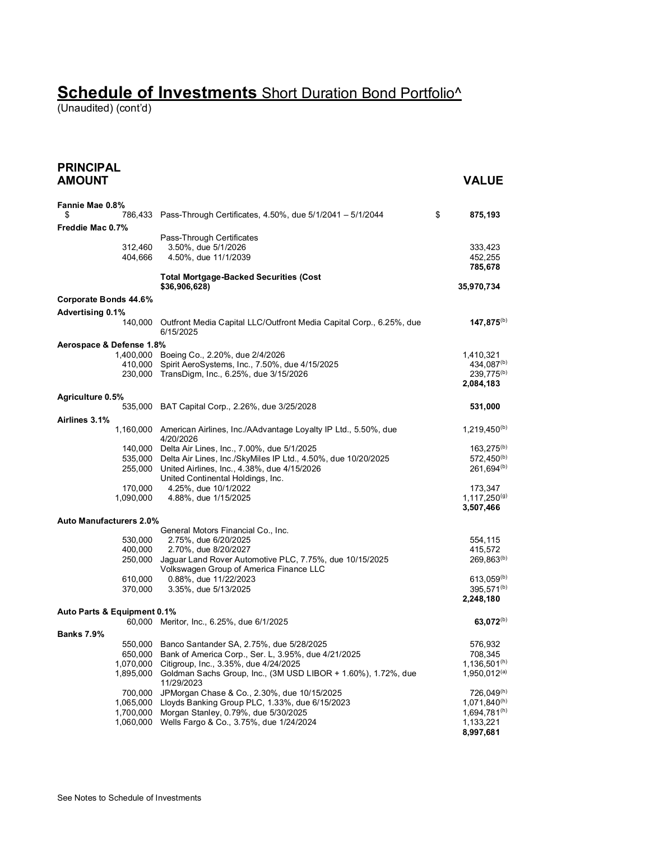(Unaudited) (cont'd)

| <b>PRINCIPAL</b><br><b>AMOUNT</b> |                                                                                          | <b>VALUE</b>                           |
|-----------------------------------|------------------------------------------------------------------------------------------|----------------------------------------|
| Fannie Mae 0.8%                   |                                                                                          |                                        |
| \$                                | 786,433 Pass-Through Certificates, 4.50%, due 5/1/2041 - 5/1/2044                        | \$<br>875,193                          |
| Freddie Mac 0.7%                  |                                                                                          |                                        |
|                                   | Pass-Through Certificates                                                                |                                        |
| 312,460                           | 3.50%, due 5/1/2026                                                                      | 333,423                                |
| 404,666                           | 4.50%, due 11/1/2039                                                                     | 452,255<br>785,678                     |
|                                   | <b>Total Mortgage-Backed Securities (Cost</b><br>\$36,906,628)                           | 35,970,734                             |
| Corporate Bonds 44.6%             |                                                                                          |                                        |
| <b>Advertising 0.1%</b>           |                                                                                          |                                        |
| 140,000                           | Outfront Media Capital LLC/Outfront Media Capital Corp., 6.25%, due<br>6/15/2025         | $147,875^{(b)}$                        |
| Aerospace & Defense 1.8%          |                                                                                          |                                        |
|                                   | 1,400,000 Boeing Co., 2.20%, due 2/4/2026                                                | 1,410,321                              |
|                                   | 410,000 Spirit AeroSystems, Inc., 7.50%, due 4/15/2025                                   | 434,087(b)                             |
|                                   | 230,000 TransDigm, Inc., 6.25%, due 3/15/2026                                            | $239,775^{(b)}$<br>2,084,183           |
| Agriculture 0.5%                  |                                                                                          |                                        |
|                                   | 535,000 BAT Capital Corp., 2.26%, due 3/25/2028                                          | 531,000                                |
| Airlines 3.1%                     |                                                                                          |                                        |
|                                   | 1,160,000 American Airlines, Inc./AAdvantage Loyalty IP Ltd., 5.50%, due<br>4/20/2026    | $1,219,450^{(b)}$                      |
|                                   | 140,000 Delta Air Lines, Inc., 7.00%, due 5/1/2025                                       | $163,275^{(b)}$                        |
|                                   | 535,000 Delta Air Lines, Inc./SkyMiles IP Ltd., 4.50%, due 10/20/2025                    | $572,450^{(b)}$                        |
|                                   | 255,000 United Airlines, Inc., 4.38%, due 4/15/2026<br>United Continental Holdings, Inc. | $261,694^{(b)}$                        |
| 170,000                           | 4.25%, due 10/1/2022                                                                     | 173,347                                |
| 1,090,000                         | 4.88%, due 1/15/2025                                                                     | $1,117,250^{(9)}$                      |
|                                   |                                                                                          | 3,507,466                              |
| <b>Auto Manufacturers 2.0%</b>    |                                                                                          |                                        |
|                                   | General Motors Financial Co., Inc.                                                       |                                        |
| 530,000<br>400,000                | 2.75%, due 6/20/2025<br>2.70%, due 8/20/2027                                             | 554,115<br>415,572                     |
|                                   | 250,000 Jaguar Land Rover Automotive PLC, 7.75%, due 10/15/2025                          | 269,863(b)                             |
|                                   | Volkswagen Group of America Finance LLC                                                  |                                        |
| 610,000                           | 0.88%, due 11/22/2023                                                                    | $613,059^{(b)}$                        |
| 370,000                           | 3.35%, due 5/13/2025                                                                     | 395,571 <sup>(b)</sup>                 |
|                                   |                                                                                          | 2,248,180                              |
| Auto Parts & Equipment 0.1%       | 60,000 Meritor, Inc., 6.25%, due 6/1/2025                                                | 63,072(b)                              |
| <b>Banks 7.9%</b>                 |                                                                                          |                                        |
| 550,000                           | Banco Santander SA, 2.75%, due 5/28/2025                                                 | 576,932                                |
| 650,000                           | Bank of America Corp., Ser. L, 3.95%, due 4/21/2025                                      | 708,345                                |
| 1,070,000                         | Citigroup, Inc., 3.35%, due 4/24/2025                                                    | $1,136,501^{(h)}$                      |
| 1,895,000                         | Goldman Sachs Group, Inc., (3M USD LIBOR + 1.60%), 1.72%, due<br>11/29/2023              | 1,950,012 <sup>(a)</sup>               |
| 700,000                           | JPMorgan Chase & Co., 2.30%, due 10/15/2025                                              | 726,049(h)                             |
| 1,065,000<br>1,700,000            | Lloyds Banking Group PLC, 1.33%, due 6/15/2023<br>Morgan Stanley, 0.79%, due 5/30/2025   | $1,071,840^{(h)}$<br>$1,694,781^{(h)}$ |
| 1,060,000                         | Wells Fargo & Co., 3.75%, due 1/24/2024                                                  | 1,133,221                              |
|                                   |                                                                                          | 8,997,681                              |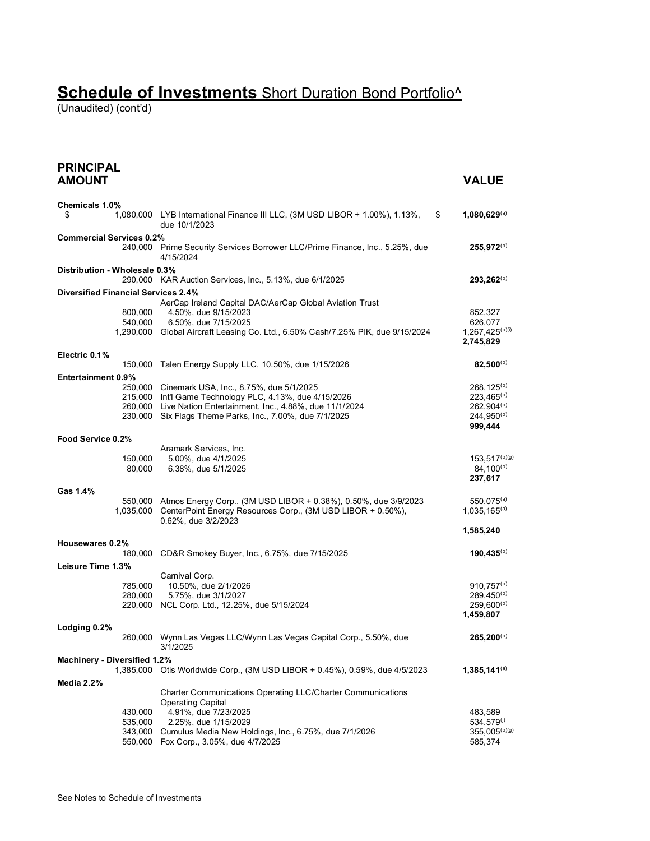(Unaudited) (cont'd)

| <b>PRINCIPAL</b><br><b>AMOUNT</b>          |                                                                                                                                                                         | <b>VALUE</b>                                       |
|--------------------------------------------|-------------------------------------------------------------------------------------------------------------------------------------------------------------------------|----------------------------------------------------|
| Chemicals 1.0%                             |                                                                                                                                                                         |                                                    |
| \$                                         | 1,080,000 LYB International Finance III LLC, (3M USD LIBOR + 1.00%), 1.13%,<br>due 10/1/2023                                                                            | \$<br>1,080,629(a)                                 |
| <b>Commercial Services 0.2%</b>            |                                                                                                                                                                         |                                                    |
|                                            | 240,000 Prime Security Services Borrower LLC/Prime Finance, Inc., 5.25%, due<br>4/15/2024                                                                               | $255,972^{(b)}$                                    |
| Distribution - Wholesale 0.3%              | 290,000 KAR Auction Services, Inc., 5.13%, due 6/1/2025                                                                                                                 | 293.262 <sup>(b)</sup>                             |
| <b>Diversified Financial Services 2.4%</b> |                                                                                                                                                                         |                                                    |
| 800,000<br>540,000                         | AerCap Ireland Capital DAC/AerCap Global Aviation Trust<br>4.50%, due 9/15/2023<br>6.50%, due 7/15/2025                                                                 | 852,327<br>626,077                                 |
|                                            | 1,290,000 Global Aircraft Leasing Co. Ltd., 6.50% Cash/7.25% PIK, due 9/15/2024                                                                                         | 1,267,425 <sup>(b)(i)</sup><br>2,745,829           |
| Electric 0.1%                              |                                                                                                                                                                         |                                                    |
| 150,000                                    | Talen Energy Supply LLC, 10.50%, due 1/15/2026                                                                                                                          | $82,500^{(b)}$                                     |
| <b>Entertainment 0.9%</b>                  | 250,000 Cinemark USA, Inc., 8.75%, due 5/1/2025<br>215,000 Int'l Game Technology PLC, 4.13%, due 4/15/2026                                                              | $268, 125^{(b)}$<br>$223,465^{(b)}$                |
|                                            | 260,000 Live Nation Entertainment, Inc., 4.88%, due 11/1/2024<br>230,000 Six Flags Theme Parks, Inc., 7.00%, due 7/1/2025                                               | $262,904^{(b)}$<br>$244,950^{(b)}$<br>999,444      |
| Food Service 0.2%                          |                                                                                                                                                                         |                                                    |
|                                            | Aramark Services, Inc.                                                                                                                                                  |                                                    |
| 150,000<br>80,000                          | 5.00%, due 4/1/2025<br>6.38%, due 5/1/2025                                                                                                                              | $153,517^{(b)(g)}$<br>$84,100^{(b)}$<br>237,617    |
| Gas 1.4%                                   |                                                                                                                                                                         |                                                    |
|                                            | 550,000 Atmos Energy Corp., (3M USD LIBOR + 0.38%), 0.50%, due 3/9/2023<br>1,035,000 CenterPoint Energy Resources Corp., (3M USD LIBOR + 0.50%),<br>0.62%, due 3/2/2023 | $550,075^{(a)}$<br>$1,035,165^{(a)}$               |
|                                            |                                                                                                                                                                         | 1,585,240                                          |
| Housewares 0.2%                            |                                                                                                                                                                         |                                                    |
| 180,000                                    | CD&R Smokey Buyer, Inc., 6.75%, due 7/15/2025                                                                                                                           | $190,435^{(b)}$                                    |
| Leisure Time 1.3%                          |                                                                                                                                                                         |                                                    |
| 785,000                                    | Carnival Corp.<br>10.50%, due 2/1/2026                                                                                                                                  | $910,757^{(b)}$                                    |
| 280,000                                    | 5.75%, due 3/1/2027                                                                                                                                                     | 289,450 <sup>(b)</sup>                             |
|                                            | 220,000 NCL Corp. Ltd., 12.25%, due 5/15/2024                                                                                                                           | $259,600^{(b)}$<br>1,459,807                       |
| Lodging 0.2%                               |                                                                                                                                                                         |                                                    |
| 260,000                                    | Wynn Las Vegas LLC/Wynn Las Vegas Capital Corp., 5.50%, due<br>3/1/2025                                                                                                 | $265,200^{(b)}$                                    |
| Machinery - Diversified 1.2%               | 1,385,000 Otis Worldwide Corp., (3M USD LIBOR + 0.45%), 0.59%, due 4/5/2023                                                                                             | $1,385,141^{(a)}$                                  |
| Media 2.2%                                 |                                                                                                                                                                         |                                                    |
|                                            | Charter Communications Operating LLC/Charter Communications<br><b>Operating Capital</b>                                                                                 |                                                    |
| 430,000                                    | 4.91%, due 7/23/2025                                                                                                                                                    | 483,589                                            |
| 535,000<br>343,000<br>550,000              | 2.25%, due 1/15/2029<br>Cumulus Media New Holdings, Inc., 6.75%, due 7/1/2026<br>Fox Corp., 3.05%, due 4/7/2025                                                         | 534,579 <sup>(j)</sup><br>355,005(b)(g)<br>585,374 |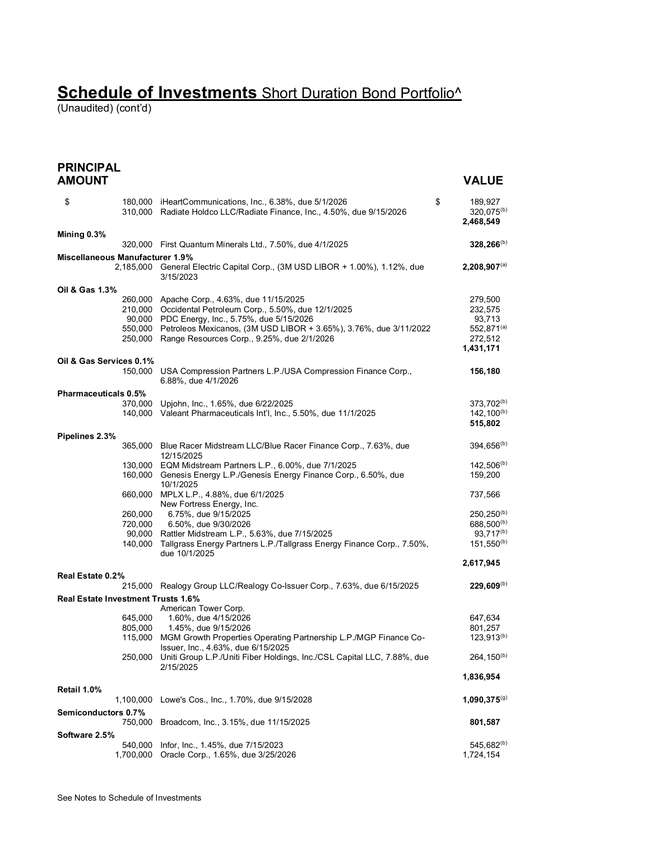(Unaudited) (cont'd)

**PRINCIPAL AMOUNT VALUE**

| \$                          |                                    | 180,000 iHeartCommunications, Inc., 6.38%, due 5/1/2026<br>310,000 Radiate Holdco LLC/Radiate Finance, Inc., 4.50%, due 9/15/2026 | \$<br>189,927<br>320,075 <sup>(b)</sup><br>2,468,549 |
|-----------------------------|------------------------------------|-----------------------------------------------------------------------------------------------------------------------------------|------------------------------------------------------|
| Mining 0.3%                 |                                    |                                                                                                                                   |                                                      |
|                             |                                    | 320,000 First Quantum Minerals Ltd., 7.50%, due 4/1/2025                                                                          | $328,266^{(b)}$                                      |
|                             | Miscellaneous Manufacturer 1.9%    | 2,185,000 General Electric Capital Corp., (3M USD LIBOR + 1.00%), 1.12%, due<br>3/15/2023                                         | $2,208,907^{(a)}$                                    |
| Oil & Gas 1.3%              |                                    |                                                                                                                                   |                                                      |
|                             |                                    | 260,000 Apache Corp., 4.63%, due 11/15/2025                                                                                       | 279,500                                              |
|                             |                                    | 210,000 Occidental Petroleum Corp., 5.50%, due 12/1/2025                                                                          | 232,575                                              |
|                             |                                    | 90,000 PDC Energy, Inc., 5.75%, due 5/15/2026                                                                                     | 93,713                                               |
|                             |                                    | 550,000 Petroleos Mexicanos, (3M USD LIBOR + 3.65%), 3.76%, due 3/11/2022<br>250,000 Range Resources Corp., 9.25%, due 2/1/2026   | 552,871 <sup>(a)</sup><br>272,512                    |
|                             |                                    |                                                                                                                                   | 1,431,171                                            |
|                             | Oil & Gas Services 0.1%            |                                                                                                                                   |                                                      |
|                             |                                    | 150,000 USA Compression Partners L.P./USA Compression Finance Corp.,<br>6.88%, due 4/1/2026                                       | 156,180                                              |
| <b>Pharmaceuticals 0.5%</b> |                                    |                                                                                                                                   |                                                      |
|                             |                                    | 370,000 Upjohn, Inc., 1.65%, due 6/22/2025                                                                                        | 373,702 <sup>(b)</sup>                               |
|                             |                                    | 140,000 Valeant Pharmaceuticals Int'l, Inc., 5.50%, due 11/1/2025                                                                 | $142, 100^{(b)}$<br>515,802                          |
| Pipelines 2.3%              |                                    |                                                                                                                                   |                                                      |
|                             |                                    | 365,000 Blue Racer Midstream LLC/Blue Racer Finance Corp., 7.63%, due                                                             | 394,656(b)                                           |
|                             |                                    | 12/15/2025<br>130,000 EQM Midstream Partners L.P., 6.00%, due 7/1/2025                                                            | $142,506^{(b)}$                                      |
|                             |                                    | 160,000 Genesis Energy L.P./Genesis Energy Finance Corp., 6.50%, due<br>10/1/2025                                                 | 159,200                                              |
|                             |                                    | 660,000 MPLX L.P., 4.88%, due 6/1/2025<br>New Fortress Energy, Inc.                                                               | 737,566                                              |
|                             | 260,000                            | 6.75%, due 9/15/2025                                                                                                              | $250, 250^{(b)}$                                     |
|                             | 720,000                            | 6.50%, due 9/30/2026                                                                                                              | 688,500 <sup>(b)</sup>                               |
|                             |                                    | 90,000 Rattler Midstream L.P., 5.63%, due 7/15/2025                                                                               | 93,717 <sup>(b)</sup>                                |
|                             |                                    | 140,000 Tallgrass Energy Partners L.P./Tallgrass Energy Finance Corp., 7.50%,<br>due 10/1/2025                                    | $151,550^{(b)}$                                      |
|                             |                                    |                                                                                                                                   | 2,617,945                                            |
| Real Estate 0.2%            |                                    |                                                                                                                                   |                                                      |
|                             |                                    | 215,000 Realogy Group LLC/Realogy Co-Issuer Corp., 7.63%, due 6/15/2025                                                           | $229,609^{(b)}$                                      |
|                             | Real Estate Investment Trusts 1.6% |                                                                                                                                   |                                                      |
|                             |                                    | American Tower Corp.                                                                                                              |                                                      |
|                             | 645,000<br>805,000                 | 1.60%, due 4/15/2026<br>1.45%, due 9/15/2026                                                                                      | 647,634<br>801,257                                   |
|                             |                                    | 115,000 MGM Growth Properties Operating Partnership L.P./MGP Finance Co-                                                          | $123,913^{(b)}$                                      |
|                             |                                    | Issuer, Inc., 4.63%, due 6/15/2025                                                                                                |                                                      |
|                             |                                    | 250,000 Uniti Group L.P./Uniti Fiber Holdings, Inc./CSL Capital LLC, 7.88%, due<br>2/15/2025                                      | 264, 150 <sup>(b)</sup>                              |
| Retail 1.0%                 |                                    |                                                                                                                                   | 1,836,954                                            |
|                             |                                    | 1,100,000 Lowe's Cos., Inc., 1.70%, due 9/15/2028                                                                                 | $1,090,375^{(g)}$                                    |
| Semiconductors 0.7%         |                                    |                                                                                                                                   |                                                      |
|                             | 750,000                            | Broadcom, Inc., 3.15%, due 11/15/2025                                                                                             | 801,587                                              |
| Software 2.5%               |                                    |                                                                                                                                   |                                                      |
|                             | 540,000                            | Infor, Inc., 1.45%, due 7/15/2023                                                                                                 | 545,682 <sup>(b)</sup>                               |
|                             | 1,700,000                          | Oracle Corp., 1.65%, due 3/25/2026                                                                                                | 1,724,154                                            |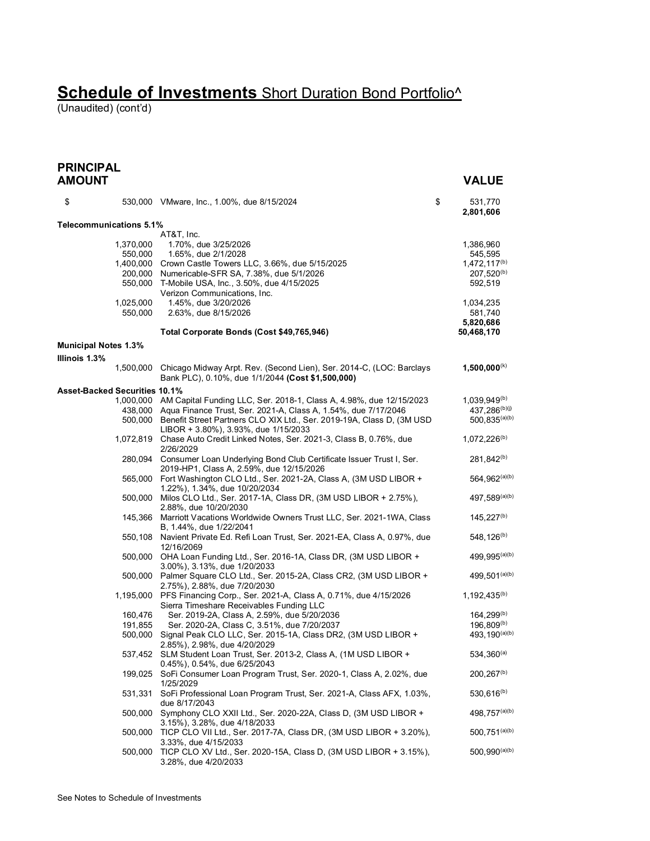(Unaudited) (cont'd)

#### **PRINCIPAL AMOUNT VALUE**

| \$                          |                                | 530,000 VMware, Inc., 1.00%, due 8/15/2024                                                                                | \$<br>531,770<br>2,801,606 |
|-----------------------------|--------------------------------|---------------------------------------------------------------------------------------------------------------------------|----------------------------|
|                             | <b>Telecommunications 5.1%</b> |                                                                                                                           |                            |
|                             | 1,370,000                      | AT&T, Inc.<br>1.70%, due 3/25/2026                                                                                        | 1,386,960                  |
|                             | 550,000                        | 1.65%, due 2/1/2028                                                                                                       | 545,595                    |
|                             |                                | 1,400,000 Crown Castle Towers LLC, 3.66%, due 5/15/2025                                                                   | $1,472,117^{(b)}$          |
|                             |                                | 200,000 Numericable-SFR SA, 7.38%, due 5/1/2026                                                                           | $207,520^{(b)}$            |
|                             | 550,000                        | T-Mobile USA, Inc., 3.50%, due 4/15/2025                                                                                  | 592,519                    |
|                             |                                | Verizon Communications, Inc.                                                                                              |                            |
|                             | 1,025,000                      | 1.45%, due 3/20/2026                                                                                                      | 1,034,235                  |
|                             | 550,000                        | 2.63%, due 8/15/2026                                                                                                      | 581,740                    |
|                             |                                | Total Corporate Bonds (Cost \$49,765,946)                                                                                 | 5,820,686<br>50,468,170    |
|                             |                                |                                                                                                                           |                            |
| <b>Municipal Notes 1.3%</b> |                                |                                                                                                                           |                            |
| Illinois 1.3%               |                                |                                                                                                                           |                            |
|                             | 1,500,000                      | Chicago Midway Arpt. Rev. (Second Lien), Ser. 2014-C, (LOC: Barclays<br>Bank PLC), 0.10%, due 1/1/2044 (Cost \$1,500,000) | $1,500,000^{(k)}$          |
|                             | Asset-Backed Securities 10.1%  |                                                                                                                           |                            |
|                             |                                | 1,000,000 AM Capital Funding LLC, Ser. 2018-1, Class A, 4.98%, due 12/15/2023                                             | $1,039,949^{(b)}$          |
|                             |                                | 438,000 Aqua Finance Trust, Ser. 2021-A, Class A, 1.54%, due 7/17/2046                                                    | 437.286(b)(j)              |
|                             |                                | 500,000 Benefit Street Partners CLO XIX Ltd., Ser. 2019-19A, Class D, (3M USD                                             | $500,835^{(a)(b)}$         |
|                             |                                | LIBOR + 3.80%), 3.93%, due 1/15/2033                                                                                      |                            |
|                             |                                | 1,072,819 Chase Auto Credit Linked Notes, Ser. 2021-3, Class B, 0.76%, due<br>2/26/2029                                   | $1,072,226^{(b)}$          |
|                             |                                | 280,094 Consumer Loan Underlying Bond Club Certificate Issuer Trust I, Ser.                                               | 281,842 <sup>(b)</sup>     |
|                             |                                | 2019-HP1, Class A, 2.59%, due 12/15/2026                                                                                  |                            |
|                             |                                | 565,000 Fort Washington CLO Ltd., Ser. 2021-2A, Class A, (3M USD LIBOR +                                                  | 564,962(a)(b)              |
|                             |                                | 1.22%), 1.34%, due 10/20/2034                                                                                             |                            |
|                             |                                | 500,000 Milos CLO Ltd., Ser. 2017-1A, Class DR, (3M USD LIBOR + 2.75%),                                                   | 497,589(a)(b)              |
|                             |                                | 2.88%, due 10/20/2030                                                                                                     |                            |
|                             |                                | 145,366 Marriott Vacations Worldwide Owners Trust LLC, Ser. 2021-1WA, Class                                               | $145,227^{(b)}$            |
|                             |                                | B, 1.44%, due 1/22/2041                                                                                                   |                            |
|                             |                                | 550,108 Navient Private Ed. Refi Loan Trust, Ser. 2021-EA, Class A, 0.97%, due                                            | 548, 126 <sup>(b)</sup>    |
|                             |                                | 12/16/2069                                                                                                                |                            |
|                             |                                | 500,000 OHA Loan Funding Ltd., Ser. 2016-1A, Class DR, (3M USD LIBOR +                                                    | 499, 995 <sup>(a)(b)</sup> |
|                             |                                | 3.00%), 3.13%, due 1/20/2033                                                                                              |                            |
|                             |                                | 500,000 Palmer Square CLO Ltd., Ser. 2015-2A, Class CR2, (3M USD LIBOR +                                                  | 499, 501(a)(b)             |
|                             |                                | 2.75%), 2.88%, due 7/20/2030<br>1,195,000 PFS Financing Corp., Ser. 2021-A, Class A, 0.71%, due 4/15/2026                 | $1,192,435^{(b)}$          |
|                             |                                | Sierra Timeshare Receivables Funding LLC                                                                                  |                            |
|                             | 160,476                        | Ser. 2019-2A, Class A, 2.59%, due 5/20/2036                                                                               | $164,299^{(b)}$            |
|                             | 191,855                        | Ser. 2020-2A, Class C, 3.51%, due 7/20/2037                                                                               | $196,809^{(b)}$            |
|                             |                                | 500,000 Signal Peak CLO LLC, Ser. 2015-1A, Class DR2, (3M USD LIBOR +                                                     | 493, 190(a)(b)             |
|                             |                                | 2.85%), 2.98%, due 4/20/2029                                                                                              |                            |
|                             |                                | 537,452 SLM Student Loan Trust, Ser. 2013-2, Class A, (1M USD LIBOR +                                                     | $534,360^{(a)}$            |
|                             |                                | 0.45%), 0.54%, due 6/25/2043                                                                                              |                            |
|                             |                                | 199,025 SoFi Consumer Loan Program Trust, Ser. 2020-1, Class A, 2.02%, due                                                | 200, 267 <sup>(b)</sup>    |
|                             |                                | 1/25/2029                                                                                                                 |                            |
|                             | 531,331                        | SoFi Professional Loan Program Trust, Ser. 2021-A, Class AFX, 1.03%,                                                      | 530,616 <sup>(b)</sup>     |
|                             |                                | due 8/17/2043                                                                                                             |                            |
|                             | 500,000                        | Symphony CLO XXII Ltd., Ser. 2020-22A, Class D, (3M USD LIBOR +                                                           | 498,757(a)(b)              |
|                             |                                | 3.15%), 3.28%, due 4/18/2033                                                                                              | 500,751(a)(b)              |
|                             | 500,000                        | TICP CLO VII Ltd., Ser. 2017-7A, Class DR, (3M USD LIBOR + 3.20%),                                                        |                            |
|                             | 500,000                        | 3.33%, due 4/15/2033<br>TICP CLO XV Ltd., Ser. 2020-15A, Class D, (3M USD LIBOR + 3.15%),                                 | $500,990^{(a)(b)}$         |
|                             |                                | 3.28%, due 4/20/2033                                                                                                      |                            |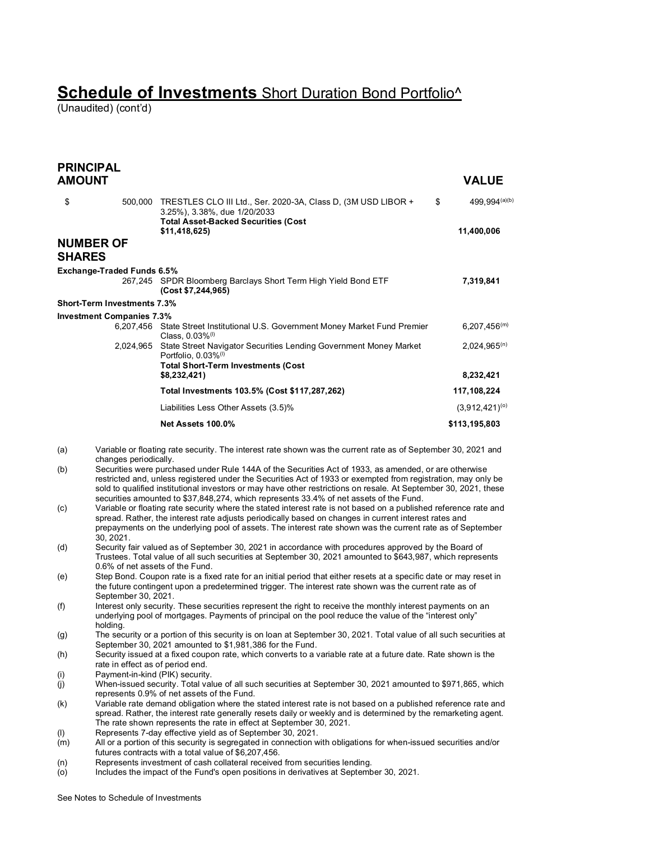(Unaudited) (cont'd)

|               | <b>PRINCIPAL</b>                   |                                                                                                                                                                                                                                                                                                                                                                                                                                   |                                   |
|---------------|------------------------------------|-----------------------------------------------------------------------------------------------------------------------------------------------------------------------------------------------------------------------------------------------------------------------------------------------------------------------------------------------------------------------------------------------------------------------------------|-----------------------------------|
| <b>AMOUNT</b> |                                    |                                                                                                                                                                                                                                                                                                                                                                                                                                   | <b>VALUE</b>                      |
| \$            |                                    | 500,000 TRESTLES CLO III Ltd., Ser. 2020-3A, Class D, (3M USD LIBOR +<br>3.25%), 3.38%, due 1/20/2033<br><b>Total Asset-Backed Securities (Cost</b><br>\$11,418,625)                                                                                                                                                                                                                                                              | 499,994(a)(b)<br>\$<br>11,400,006 |
|               | <b>NUMBER OF</b>                   |                                                                                                                                                                                                                                                                                                                                                                                                                                   |                                   |
| <b>SHARES</b> |                                    |                                                                                                                                                                                                                                                                                                                                                                                                                                   |                                   |
|               | Exchange-Traded Funds 6.5%         | 267,245 SPDR Bloomberg Barclays Short Term High Yield Bond ETF                                                                                                                                                                                                                                                                                                                                                                    | 7,319,841                         |
|               |                                    | (Cost \$7,244,965)                                                                                                                                                                                                                                                                                                                                                                                                                |                                   |
|               | <b>Short-Term Investments 7.3%</b> |                                                                                                                                                                                                                                                                                                                                                                                                                                   |                                   |
|               | <b>Investment Companies 7.3%</b>   |                                                                                                                                                                                                                                                                                                                                                                                                                                   |                                   |
|               |                                    | 6,207,456 State Street Institutional U.S. Government Money Market Fund Premier<br>Class, $0.03\%$ <sup>(1)</sup>                                                                                                                                                                                                                                                                                                                  | $6,207,456^{(m)}$                 |
|               |                                    | 2,024,965 State Street Navigator Securities Lending Government Money Market<br>Portfolio, 0.03% <sup>(I)</sup>                                                                                                                                                                                                                                                                                                                    | $2,024,965^{(n)}$                 |
|               |                                    | <b>Total Short-Term Investments (Cost</b><br>\$8,232,421)                                                                                                                                                                                                                                                                                                                                                                         | 8,232,421                         |
|               |                                    | Total Investments 103.5% (Cost \$117,287,262)                                                                                                                                                                                                                                                                                                                                                                                     | 117,108,224                       |
|               |                                    | Liabilities Less Other Assets (3.5)%                                                                                                                                                                                                                                                                                                                                                                                              | $(3,912,421)^{(0)}$               |
|               |                                    | Net Assets 100.0%                                                                                                                                                                                                                                                                                                                                                                                                                 | \$113,195,803                     |
| (a)           | changes periodically.              | Variable or floating rate security. The interest rate shown was the current rate as of September 30, 2021 and                                                                                                                                                                                                                                                                                                                     |                                   |
| (b)           |                                    | Securities were purchased under Rule 144A of the Securities Act of 1933, as amended, or are otherwise<br>restricted and, unless registered under the Securities Act of 1933 or exempted from registration, may only be<br>sold to qualified institutional investors or may have other restrictions on resale. At September 30, 2021, these                                                                                        |                                   |
| (c)           | 30, 2021.                          | securities amounted to \$37,848,274, which represents 33.4% of net assets of the Fund.<br>Variable or floating rate security where the stated interest rate is not based on a published reference rate and<br>spread. Rather, the interest rate adjusts periodically based on changes in current interest rates and<br>prepayments on the underlying pool of assets. The interest rate shown was the current rate as of September |                                   |
| (d)           | 0.6% of net assets of the Fund.    | Security fair valued as of September 30, 2021 in accordance with procedures approved by the Board of<br>Trustees. Total value of all such securities at September 30, 2021 amounted to \$643,987, which represents                                                                                                                                                                                                                |                                   |
| (e)           |                                    | Step Bond. Coupon rate is a fixed rate for an initial period that either resets at a specific date or may reset in<br>the future contingent upon a predetermined trigger. The interest rate shown was the current rate as of                                                                                                                                                                                                      |                                   |

- September 30, 2021. (f) Interest only security. These securities represent the right to receive the monthly interest payments on an underlying pool of mortgages. Payments of principal on the pool reduce the value of the "interest only" holding.
- (g) The security or a portion of this security is on loan at September 30, 2021. Total value of all such securities at September 30, 2021 amounted to \$1,981,386 for the Fund.
- (h) Security issued at a fixed coupon rate, which converts to a variable rate at a future date. Rate shown is the rate in effect as of period end.
- (i) Payment-in-kind (PIK) security.<br>(j) When-issued security. Total val
- When-issued security. Total value of all such securities at September 30, 2021 amounted to \$971,865, which represents 0.9% of net assets of the Fund.
- (k) Variable rate demand obligation where the stated interest rate is not based on a published reference rate and spread. Rather, the interest rate generally resets daily or weekly and is determined by the remarketing agent. The rate shown represents the rate in effect at September 30, 2021.
- (l) Represents 7-day effective yield as of September 30, 2021.<br>(m) All or a portion of this security is segregated in connection w
- All or a portion of this security is segregated in connection with obligations for when-issued securities and/or futures contracts with a total value of \$6,207,456.
- (n) Represents investment of cash collateral received from securities lending.<br>(o) lncludes the impact of the Fund's open positions in derivatives at Septemb
- Includes the impact of the Fund's open positions in derivatives at September 30, 2021.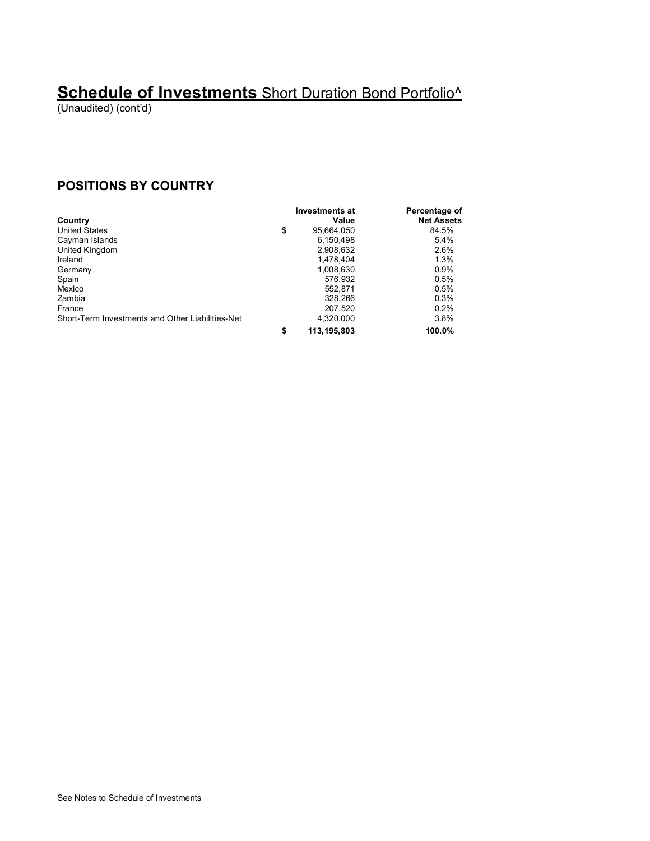(Unaudited) (cont'd)

#### **POSITIONS BY COUNTRY**

|                                                  | Investments at      | Percentage of     |
|--------------------------------------------------|---------------------|-------------------|
| Country                                          | Value               | <b>Net Assets</b> |
| <b>United States</b>                             | \$<br>95.664.050    | 84.5%             |
| Cayman Islands                                   | 6.150.498           | 5.4%              |
| United Kingdom                                   | 2,908,632           | 2.6%              |
| Ireland                                          | 1.478.404           | 1.3%              |
| Germany                                          | 1,008,630           | 0.9%              |
| Spain                                            | 576,932             | 0.5%              |
| Mexico                                           | 552.871             | 0.5%              |
| Zambia                                           | 328,266             | 0.3%              |
| France                                           | 207.520             | 0.2%              |
| Short-Term Investments and Other Liabilities-Net | 4.320.000           | 3.8%              |
|                                                  | \$<br>113, 195, 803 | 100.0%            |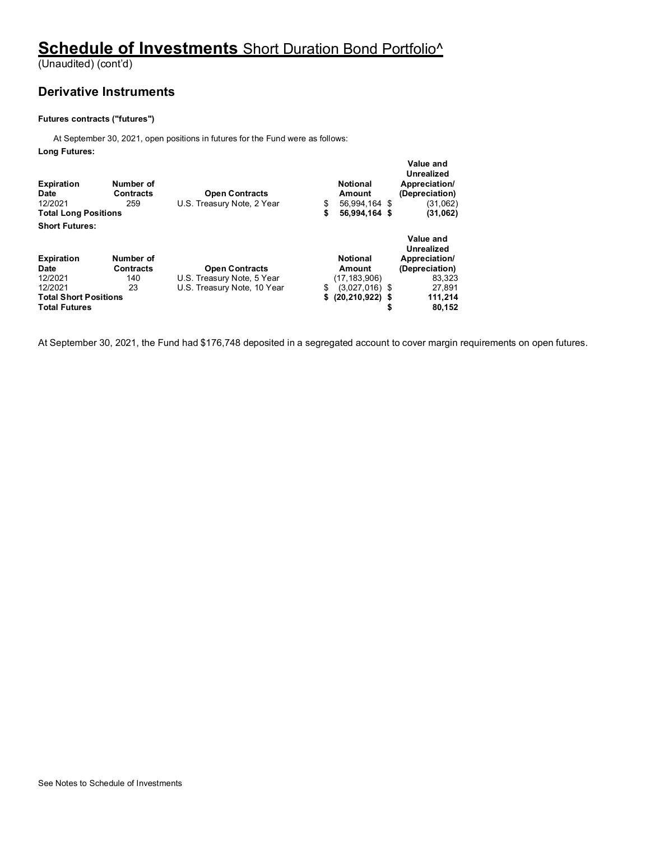(Unaudited) (cont'd)

#### **Derivative Instruments**

#### **Futures contracts ("futures")**

At September 30, 2021, open positions in futures for the Fund were as follows:

**Long Futures:**

| <b>Expiration</b><br><b>Date</b><br>12/2021<br><b>Total Long Positions</b> | Number of<br><b>Contracts</b><br>259 | <b>Open Contracts</b><br>U.S. Treasury Note, 2 Year | \$<br>\$ | <b>Notional</b><br>Amount<br>56.994.164 \$<br>56,994,164 \$ | Value and<br>Unrealized<br>Appreciation/<br>(Depreciation)<br>(31,062)<br>(31,062) |
|----------------------------------------------------------------------------|--------------------------------------|-----------------------------------------------------|----------|-------------------------------------------------------------|------------------------------------------------------------------------------------|
| <b>Short Futures:</b>                                                      |                                      |                                                     |          |                                                             |                                                                                    |
| <b>Expiration</b>                                                          | Number of                            |                                                     |          | <b>Notional</b>                                             | Value and<br>Unrealized<br>Appreciation/                                           |
| Date                                                                       | <b>Contracts</b>                     | <b>Open Contracts</b>                               |          | Amount                                                      | (Depreciation)                                                                     |
| 12/2021                                                                    | 140                                  | U.S. Treasury Note, 5 Year                          |          | (17, 183, 906)                                              | 83.323                                                                             |
| 12/2021                                                                    | 23                                   | U.S. Treasury Note, 10 Year                         | \$       | $(3,027,016)$ \$                                            | 27.891                                                                             |
| <b>Total Short Positions</b>                                               |                                      |                                                     | \$       | $(20, 210, 922)$ \$                                         | 111,214                                                                            |
| <b>Total Futures</b>                                                       |                                      |                                                     |          |                                                             | 80.152                                                                             |

At September 30, 2021, the Fund had \$176,748 deposited in a segregated account to cover margin requirements on open futures.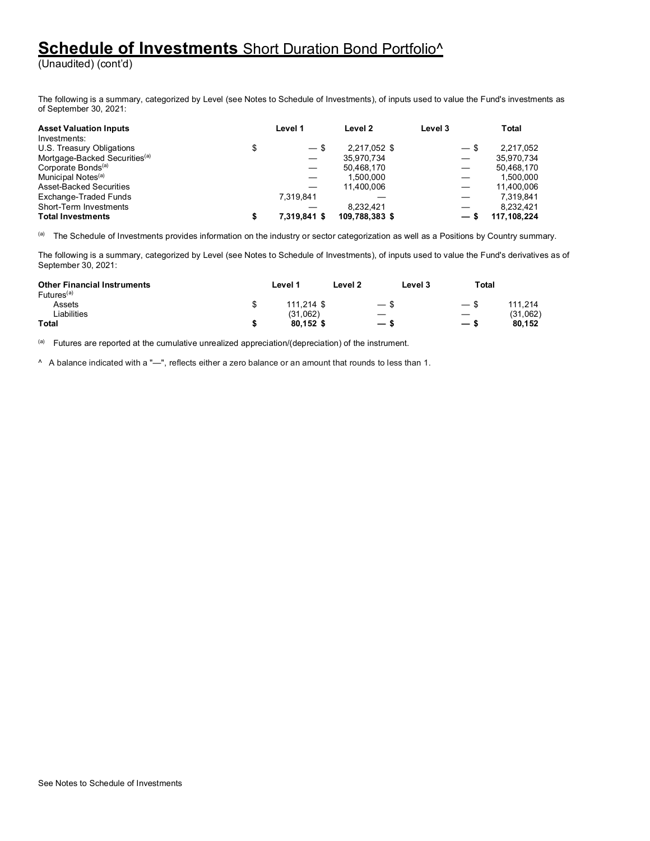(Unaudited) (cont'd)

The following is a summary, categorized by Level (see Notes to Schedule of Investments), of inputs used to value the Fund's investments as of September 30, 2021:

| <b>Asset Valuation Inputs</b>                   | Level 1      |        | Level 2        | Level 3 |                                  | Total       |
|-------------------------------------------------|--------------|--------|----------------|---------|----------------------------------|-------------|
| Investments:<br>U.S. Treasury Obligations<br>\$ |              | $-$ \$ | 2.217.052 \$   |         | $-$ \$                           | 2.217.052   |
| Mortgage-Backed Securities <sup>(a)</sup>       |              |        | 35,970,734     |         | $\overbrace{\phantom{12322111}}$ | 35,970,734  |
| Corporate Bonds <sup>(a)</sup>                  |              |        | 50,468,170     |         | $\overline{\phantom{0}}$         | 50,468,170  |
| Municipal Notes <sup>(a)</sup>                  |              |        | 1.500.000      |         |                                  | 1.500.000   |
| Asset-Backed Securities                         |              |        | 11.400.006     |         |                                  | 11.400.006  |
| Exchange-Traded Funds                           | 7,319,841    |        |                |         | $\overline{\phantom{0}}$         | 7.319.841   |
| Short-Term Investments                          |              |        | 8.232.421      |         |                                  | 8.232.421   |
| <b>Total Investments</b>                        | 7.319.841 \$ |        | 109,788,383 \$ |         | $-s$                             | 117.108.224 |

(a) The Schedule of Investments provides information on the industry or sector categorization as well as a Positions by Country summary.

The following is a summary, categorized by Level (see Notes to Schedule of Investments), of inputs used to value the Fund's derivatives as of September 30, 2021:

| <b>Other Financial Instruments</b><br>Futures <sup>(a)</sup> | Level <sup>4</sup> | Level 2<br>Level 3       | Total                    |          |
|--------------------------------------------------------------|--------------------|--------------------------|--------------------------|----------|
| Assets                                                       | 111.214 \$         |                          | $-$ \$                   | 111.214  |
| iabilities                                                   | (31,062)           |                          |                          | (31,062) |
| <b>Total</b>                                                 | 80.152 \$          | $\overline{\phantom{m}}$ | $\overline{\phantom{0}}$ | 80.152   |

(a) Futures are reported at the cumulative unrealized appreciation/(depreciation) of the instrument.

^ A balance indicated with a "—", reflects either a zero balance or an amount that rounds to less than 1.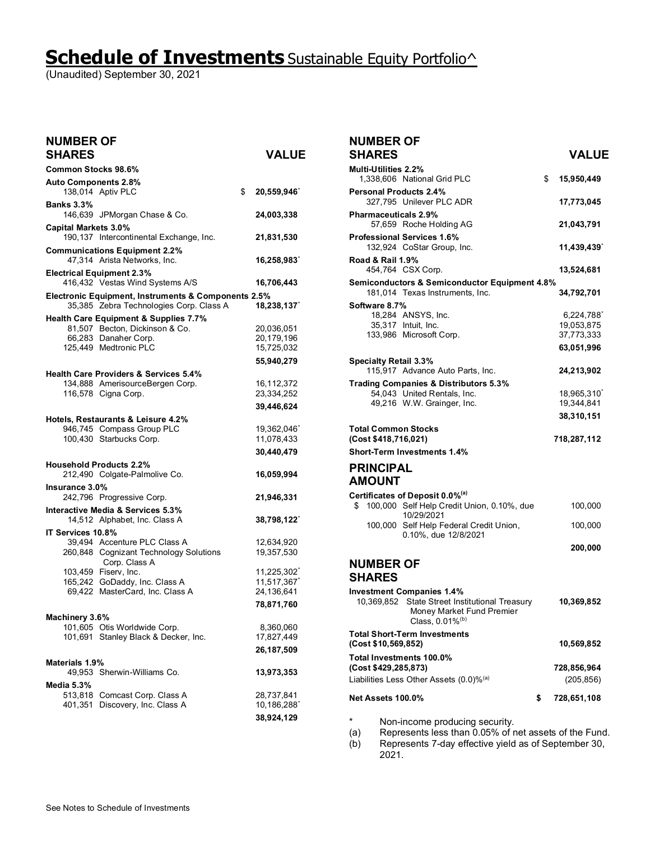# **Schedule of Investments** Sustainable Equity Portfolio^

(Unaudited) September 30, 2021

| <b>NUMBER OF</b><br><b>SHARES</b> |                                                                                                | <b>VALUE</b>     |
|-----------------------------------|------------------------------------------------------------------------------------------------|------------------|
| Common Stocks 98.6%               |                                                                                                |                  |
| <b>Auto Components 2.8%</b>       | 138,014 Aptiv PLC                                                                              | \$<br>20,559,946 |
| <b>Banks 3.3%</b>                 | 146,639 JPMorgan Chase & Co.                                                                   | 24,003,338       |
| <b>Capital Markets 3.0%</b>       | 190,137 Intercontinental Exchange, Inc.                                                        | 21,831,530       |
|                                   | <b>Communications Equipment 2.2%</b><br>47,314 Arista Networks, Inc.                           | 16,258,983       |
|                                   | <b>Electrical Equipment 2.3%</b><br>416,432 Vestas Wind Systems A/S                            | 16,706,443       |
|                                   | Electronic Equipment, Instruments & Components 2.5%<br>35,385 Zebra Technologies Corp. Class A | 18,238,137       |
|                                   | <b>Health Care Equipment &amp; Supplies 7.7%</b>                                               |                  |
|                                   | 81,507 Becton, Dickinson & Co.                                                                 | 20,036,051       |
|                                   | 66,283 Danaher Corp.                                                                           | 20,179,196       |
|                                   | 125,449 Medtronic PLC                                                                          | 15,725,032       |
|                                   |                                                                                                | 55,940,279       |
|                                   | <b>Health Care Providers &amp; Services 5.4%</b>                                               |                  |
|                                   | 134,888 AmerisourceBergen Corp.                                                                | 16,112,372       |
|                                   | 116,578 Cigna Corp.                                                                            | 23,334,252       |
|                                   |                                                                                                | 39,446,624       |
|                                   | Hotels, Restaurants & Leisure 4.2%                                                             |                  |
|                                   | 946,745 Compass Group PLC                                                                      | 19,362,046       |
|                                   | 100,430 Starbucks Corp.                                                                        | 11,078,433       |
|                                   |                                                                                                | 30,440,479       |
|                                   | <b>Household Products 2.2%</b>                                                                 |                  |
|                                   | 212,490 Colgate-Palmolive Co.                                                                  | 16,059,994       |
| Insurance 3.0%                    |                                                                                                |                  |
|                                   | 242,796 Progressive Corp.                                                                      | 21,946,331       |
|                                   | Interactive Media & Services 5.3%                                                              |                  |
|                                   | 14,512 Alphabet, Inc. Class A                                                                  | 38,798,122       |
| IT Services 10.8%                 |                                                                                                |                  |
|                                   | 39,494 Accenture PLC Class A                                                                   | 12,634,920       |
|                                   | 260,848 Cognizant Technology Solutions                                                         | 19,357,530       |
|                                   | Corp. Class A                                                                                  |                  |
|                                   | 103,459 Fiserv, Inc.                                                                           | 11,225,302       |
|                                   | 165,242 GoDaddy, Inc. Class A                                                                  | 11,517,367       |
|                                   | 69,422 MasterCard, Inc. Class A                                                                | 24,136,641       |
|                                   |                                                                                                | 78,871,760       |
| Machinery 3.6%                    |                                                                                                |                  |
|                                   | 101,605 Otis Worldwide Corp.                                                                   | 8,360,060        |
|                                   | 101,691 Stanley Black & Decker, Inc.                                                           | 17,827,449       |
|                                   |                                                                                                | 26,187,509       |
| Materials 1.9%                    |                                                                                                |                  |
|                                   | 49,953 Sherwin-Williams Co.                                                                    | 13,973,353       |
| Media 5.3%                        |                                                                                                |                  |
|                                   | 513,818 Comcast Corp. Class A                                                                  | 28,737,841       |
| 401.351                           | Discovery, Inc. Class A                                                                        | 10,186,288       |
|                                   |                                                                                                | 38,924,129       |

#### **NUMBER OF**

| <b>SHARES</b>                                      |                                                                                                                                     | <b>VALUE</b>                                        |
|----------------------------------------------------|-------------------------------------------------------------------------------------------------------------------------------------|-----------------------------------------------------|
| Multi-Utilities 2.2%                               | 1,338,606 National Grid PLC                                                                                                         | \$<br>15,950,449                                    |
| <b>Personal Products 2.4%</b>                      | 327,795 Unilever PLC ADR                                                                                                            | 17,773,045                                          |
| Pharmaceuticals 2.9%                               | 57,659 Roche Holding AG                                                                                                             | 21,043,791                                          |
|                                                    | <b>Professional Services 1.6%</b><br>132,924 CoStar Group, Inc.                                                                     | 11,439,439                                          |
| Road & Rail 1.9%                                   | 454,764 CSX Corp.                                                                                                                   | 13,524,681                                          |
|                                                    | <b>Semiconductors &amp; Semiconductor Equipment 4.8%</b><br>181,014 Texas Instruments, Inc.                                         | 34,792,701                                          |
| Software 8.7%                                      | 18,284 ANSYS, Inc.<br>35,317 Intuit, Inc.<br>133,986 Microsoft Corp.                                                                | 6,224,788<br>19,053,875<br>37,773,333<br>63,051,996 |
| <b>Specialty Retail 3.3%</b>                       | 115,917 Advance Auto Parts, Inc.                                                                                                    | 24,213,902                                          |
|                                                    | Trading Companies & Distributors 5.3%                                                                                               |                                                     |
|                                                    | 54,043 United Rentals, Inc.<br>49,216 W.W. Grainger, Inc.                                                                           | 18,965,310<br>19,344,841                            |
|                                                    |                                                                                                                                     | 38,310,151                                          |
| <b>Total Common Stocks</b><br>(Cost \$418,716,021) |                                                                                                                                     | 718,287,112                                         |
|                                                    | <b>Short-Term Investments 1.4%</b>                                                                                                  |                                                     |
| <b>PRINCIPAL</b><br><b>AMOUNT</b>                  |                                                                                                                                     |                                                     |
|                                                    | Certificates of Deposit 0.0% <sup>(a)</sup>                                                                                         |                                                     |
| \$                                                 | 100,000 Self Help Credit Union, 0.10%, due<br>10/29/2021                                                                            | 100,000                                             |
|                                                    | 100,000 Self Help Federal Credit Union,<br>0.10%, due 12/8/2021                                                                     | 100,000                                             |
|                                                    |                                                                                                                                     | 200,000                                             |
| <b>NUMBER OF</b><br><b>SHARES</b>                  |                                                                                                                                     |                                                     |
| 10.369.852                                         | <b>Investment Companies 1.4%</b><br>State Street Institutional Treasury<br>Money Market Fund Premier<br>Class, 0.01% <sup>(b)</sup> | 10,369,852                                          |
| (Cost \$10,569,852)                                | <b>Total Short-Term Investments</b>                                                                                                 | 10,569,852                                          |
| (Cost \$429,285,873)                               | Total Investments 100.0%<br>Liabilities Less Other Assets $(0.0)$ % <sup>(a)</sup>                                                  | 728,856,964<br>(205, 856)                           |
| <b>Net Assets 100.0%</b>                           |                                                                                                                                     | \$<br>728,651,108                                   |
| $\star$                                            | Non-income producing security.                                                                                                      |                                                     |

(a) Represents less than 0.05% of net assets of the Fund.

(b) Represents 7-day effective yield as of September 30, 2021.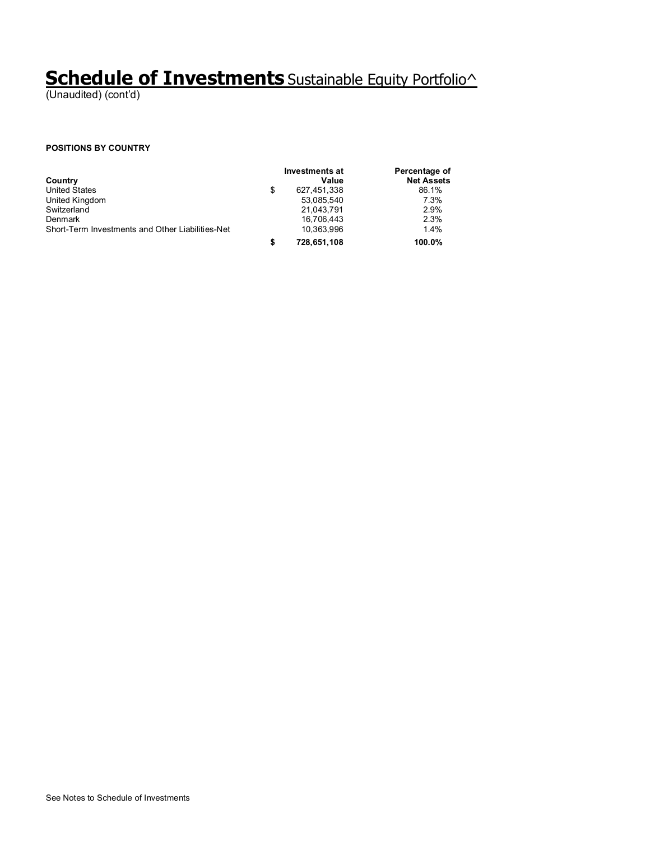# **Schedule of Investments** Sustainable Equity Portfolio^

(Unaudited) (cont'd)

#### **POSITIONS BY COUNTRY**

|                                                  | Investments at |             | Percentage of     |  |
|--------------------------------------------------|----------------|-------------|-------------------|--|
| Country                                          |                | Value       | <b>Net Assets</b> |  |
| <b>United States</b>                             | \$             | 627.451.338 | 86.1%             |  |
| United Kingdom                                   |                | 53,085,540  | 7.3%              |  |
| Switzerland                                      |                | 21.043.791  | 2.9%              |  |
| Denmark                                          |                | 16,706,443  | 2.3%              |  |
| Short-Term Investments and Other Liabilities-Net |                | 10,363,996  | 1.4%              |  |
|                                                  |                | 728,651,108 | 100.0%            |  |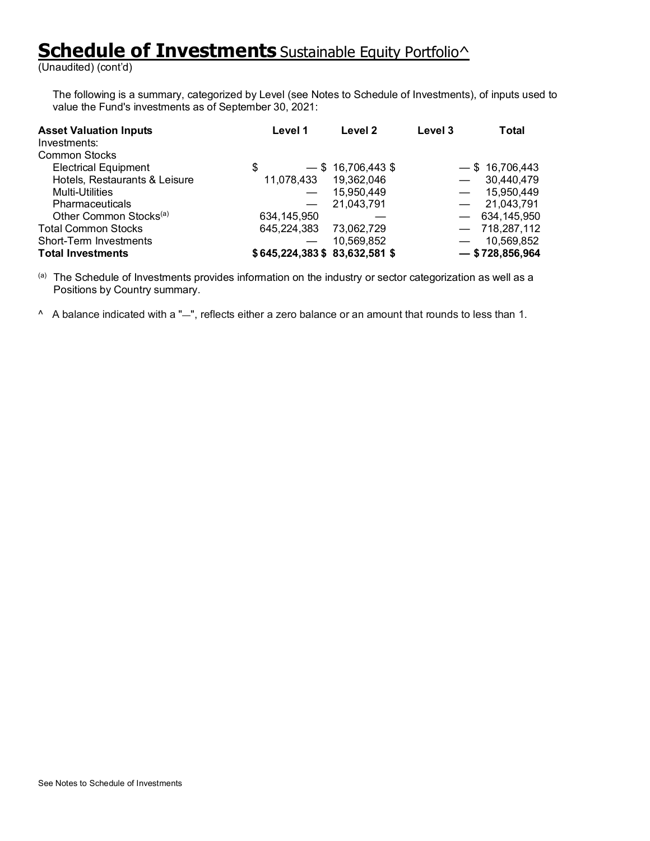# **Schedule of Investments** Sustainable Equity Portfolio<sup>^</sup>

(Unaudited) (cont'd)

The following is a summary, categorized by Level (see Notes to Schedule of Investments), of inputs used to value the Fund's investments as of September 30, 2021:

| <b>Asset Valuation Inputs</b><br>Investments:<br><b>Common Stocks</b> | Level 1                       | Level 2              | Level 3 | Total             |
|-----------------------------------------------------------------------|-------------------------------|----------------------|---------|-------------------|
| <b>Electrical Equipment</b>                                           | \$                            | $-$ \$ 16,706,443 \$ |         | $-$ \$ 16,706,443 |
| Hotels, Restaurants & Leisure                                         | 11,078,433                    | 19,362,046           |         | 30,440,479        |
| Multi-Utilities                                                       |                               | 15,950,449           |         | 15,950,449        |
| <b>Pharmaceuticals</b>                                                | $\overline{\phantom{m}}$      | 21,043,791           |         | 21,043,791        |
| Other Common Stocks <sup>(a)</sup>                                    | 634,145,950                   |                      |         | $-634,145,950$    |
| <b>Total Common Stocks</b>                                            | 645,224,383 73,062,729        |                      |         | $-718,287,112$    |
| Short-Term Investments                                                |                               | 10,569,852           |         | 10,569,852        |
| <b>Total Investments</b>                                              | \$645,224,383 \$83,632,581 \$ |                      |         | $-$ \$728,856,964 |

(a) The Schedule of Investments provides information on the industry or sector categorization as well as a Positions by Country summary.

^ A balance indicated with a "—", reflects either a zero balance or an amount that rounds to less than 1.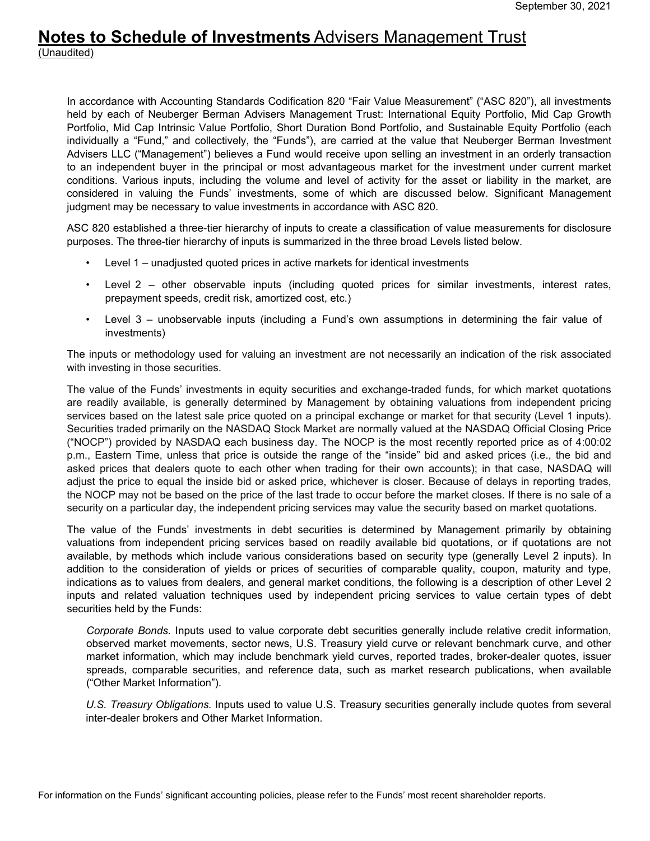#### **Notes to Schedule of Investments** Advisers Management Trust (Unaudited)

In accordance with Accounting Standards Codification 820 "Fair Value Measurement" ("ASC 820"), all investments held by each of Neuberger Berman Advisers Management Trust: International Equity Portfolio, Mid Cap Growth Portfolio, Mid Cap Intrinsic Value Portfolio, Short Duration Bond Portfolio, and Sustainable Equity Portfolio (each individually a "Fund," and collectively, the "Funds"), are carried at the value that Neuberger Berman Investment Advisers LLC ("Management") believes a Fund would receive upon selling an investment in an orderly transaction to an independent buyer in the principal or most advantageous market for the investment under current market conditions. Various inputs, including the volume and level of activity for the asset or liability in the market, are considered in valuing the Funds' investments, some of which are discussed below. Significant Management judgment may be necessary to value investments in accordance with ASC 820.

ASC 820 established a three-tier hierarchy of inputs to create a classification of value measurements for disclosure purposes. The three-tier hierarchy of inputs is summarized in the three broad Levels listed below.

- Level 1 unadjusted quoted prices in active markets for identical investments
- Level 2 other observable inputs (including quoted prices for similar investments, interest rates, prepayment speeds, credit risk, amortized cost, etc.)
- Level 3 unobservable inputs (including a Fund's own assumptions in determining the fair value of investments)

The inputs or methodology used for valuing an investment are not necessarily an indication of the risk associated with investing in those securities.

The value of the Funds' investments in equity securities and exchange-traded funds, for which market quotations are readily available, is generally determined by Management by obtaining valuations from independent pricing services based on the latest sale price quoted on a principal exchange or market for that security (Level 1 inputs). Securities traded primarily on the NASDAQ Stock Market are normally valued at the NASDAQ Official Closing Price ("NOCP") provided by NASDAQ each business day. The NOCP is the most recently reported price as of 4:00:02 p.m., Eastern Time, unless that price is outside the range of the "inside" bid and asked prices (i.e., the bid and asked prices that dealers quote to each other when trading for their own accounts); in that case, NASDAQ will adjust the price to equal the inside bid or asked price, whichever is closer. Because of delays in reporting trades, the NOCP may not be based on the price of the last trade to occur before the market closes. If there is no sale of a security on a particular day, the independent pricing services may value the security based on market quotations.

The value of the Funds' investments in debt securities is determined by Management primarily by obtaining valuations from independent pricing services based on readily available bid quotations, or if quotations are not available, by methods which include various considerations based on security type (generally Level 2 inputs). In addition to the consideration of yields or prices of securities of comparable quality, coupon, maturity and type, indications as to values from dealers, and general market conditions, the following is a description of other Level 2 inputs and related valuation techniques used by independent pricing services to value certain types of debt securities held by the Funds:

*Corporate Bonds.* Inputs used to value corporate debt securities generally include relative credit information, observed market movements, sector news, U.S. Treasury yield curve or relevant benchmark curve, and other market information, which may include benchmark yield curves, reported trades, broker-dealer quotes, issuer spreads, comparable securities, and reference data, such as market research publications, when available ("Other Market Information").

*U.S. Treasury Obligations.* Inputs used to value U.S. Treasury securities generally include quotes from several inter-dealer brokers and Other Market Information.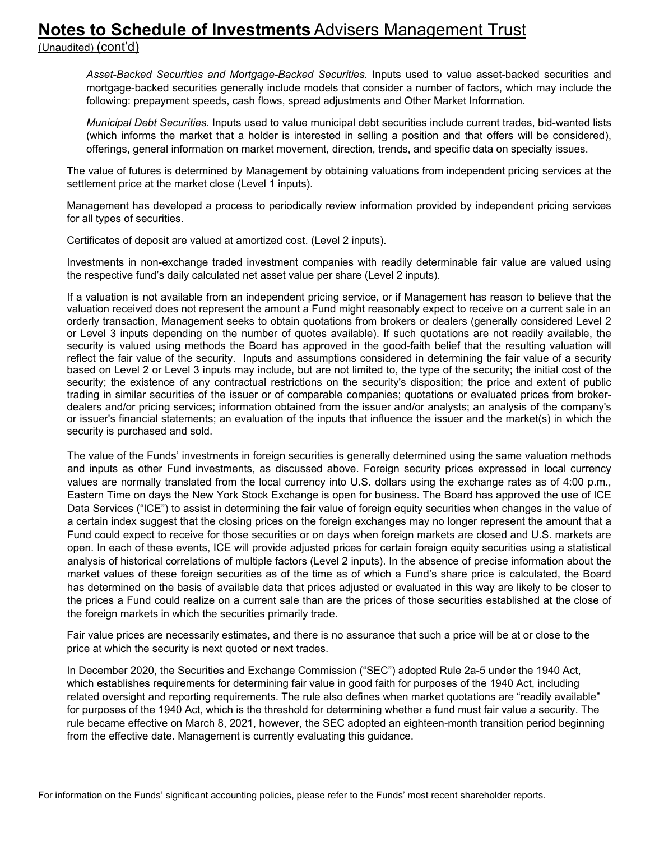## **Notes to Schedule of Investments** Advisers Management Trust

(Unaudited) (cont'd)

*Asset-Backed Securities and Mortgage-Backed Securities.* Inputs used to value asset-backed securities and mortgage-backed securities generally include models that consider a number of factors, which may include the following: prepayment speeds, cash flows, spread adjustments and Other Market Information.

*Municipal Debt Securities.* Inputs used to value municipal debt securities include current trades, bid-wanted lists (which informs the market that a holder is interested in selling a position and that offers will be considered), offerings, general information on market movement, direction, trends, and specific data on specialty issues.

The value of futures is determined by Management by obtaining valuations from independent pricing services at the settlement price at the market close (Level 1 inputs).

Management has developed a process to periodically review information provided by independent pricing services for all types of securities.

Certificates of deposit are valued at amortized cost. (Level 2 inputs).

Investments in non-exchange traded investment companies with readily determinable fair value are valued using the respective fund's daily calculated net asset value per share (Level 2 inputs).

If a valuation is not available from an independent pricing service, or if Management has reason to believe that the valuation received does not represent the amount a Fund might reasonably expect to receive on a current sale in an orderly transaction, Management seeks to obtain quotations from brokers or dealers (generally considered Level 2 or Level 3 inputs depending on the number of quotes available). If such quotations are not readily available, the security is valued using methods the Board has approved in the good-faith belief that the resulting valuation will reflect the fair value of the security. Inputs and assumptions considered in determining the fair value of a security based on Level 2 or Level 3 inputs may include, but are not limited to, the type of the security; the initial cost of the security; the existence of any contractual restrictions on the security's disposition; the price and extent of public trading in similar securities of the issuer or of comparable companies; quotations or evaluated prices from brokerdealers and/or pricing services; information obtained from the issuer and/or analysts; an analysis of the company's or issuer's financial statements; an evaluation of the inputs that influence the issuer and the market(s) in which the security is purchased and sold.

The value of the Funds' investments in foreign securities is generally determined using the same valuation methods and inputs as other Fund investments, as discussed above. Foreign security prices expressed in local currency values are normally translated from the local currency into U.S. dollars using the exchange rates as of 4:00 p.m., Eastern Time on days the New York Stock Exchange is open for business. The Board has approved the use of ICE Data Services ("ICE") to assist in determining the fair value of foreign equity securities when changes in the value of a certain index suggest that the closing prices on the foreign exchanges may no longer represent the amount that a Fund could expect to receive for those securities or on days when foreign markets are closed and U.S. markets are open. In each of these events, ICE will provide adjusted prices for certain foreign equity securities using a statistical analysis of historical correlations of multiple factors (Level 2 inputs). In the absence of precise information about the market values of these foreign securities as of the time as of which a Fund's share price is calculated, the Board has determined on the basis of available data that prices adjusted or evaluated in this way are likely to be closer to the prices a Fund could realize on a current sale than are the prices of those securities established at the close of the foreign markets in which the securities primarily trade.

Fair value prices are necessarily estimates, and there is no assurance that such a price will be at or close to the price at which the security is next quoted or next trades.

In December 2020, the Securities and Exchange Commission ("SEC") adopted Rule 2a-5 under the 1940 Act, which establishes requirements for determining fair value in good faith for purposes of the 1940 Act, including related oversight and reporting requirements. The rule also defines when market quotations are "readily available" for purposes of the 1940 Act, which is the threshold for determining whether a fund must fair value a security. The rule became effective on March 8, 2021, however, the SEC adopted an eighteen-month transition period beginning from the effective date. Management is currently evaluating this guidance.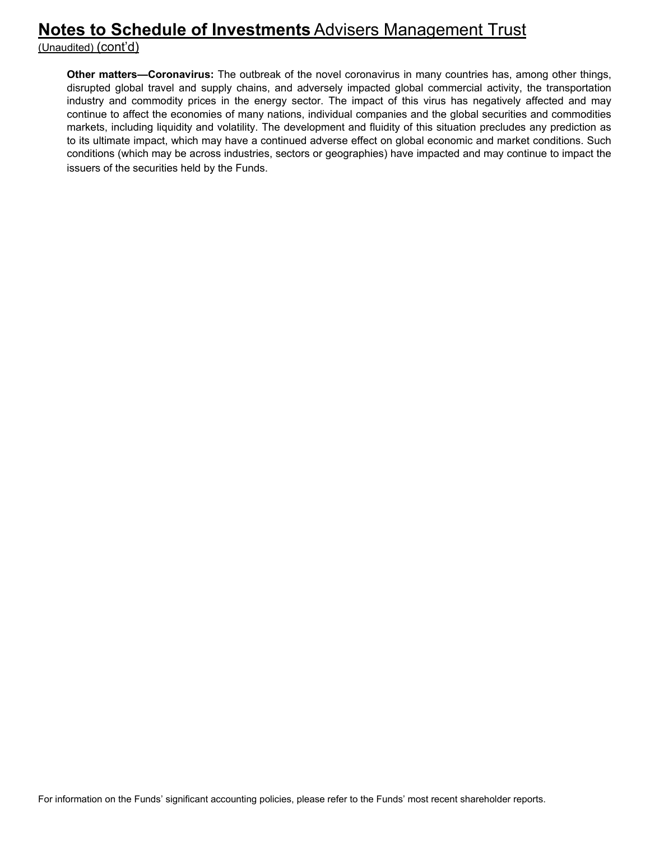## **Notes to Schedule of Investments** Advisers Management Trust

(Unaudited) (cont'd)

**Other matters—Coronavirus:** The outbreak of the novel coronavirus in many countries has, among other things, disrupted global travel and supply chains, and adversely impacted global commercial activity, the transportation industry and commodity prices in the energy sector. The impact of this virus has negatively affected and may continue to affect the economies of many nations, individual companies and the global securities and commodities markets, including liquidity and volatility. The development and fluidity of this situation precludes any prediction as to its ultimate impact, which may have a continued adverse effect on global economic and market conditions. Such conditions (which may be across industries, sectors or geographies) have impacted and may continue to impact the issuers of the securities held by the Funds.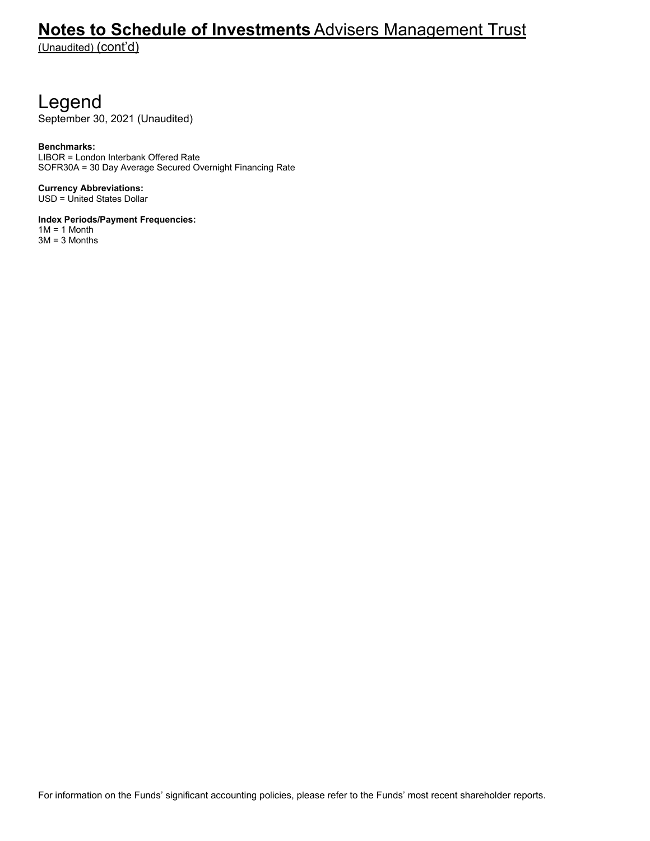## **Notes to Schedule of Investments** Advisers Management Trust

(Unaudited) (cont'd)

# Legend

September 30, 2021 (Unaudited)

#### **Benchmarks:**

LIBOR = London Interbank Offered Rate SOFR30A = 30 Day Average Secured Overnight Financing Rate

**Currency Abbreviations:**  USD = United States Dollar

**Index Periods/Payment Frequencies:** 

 $1M = 1$  Month 3M = 3 Months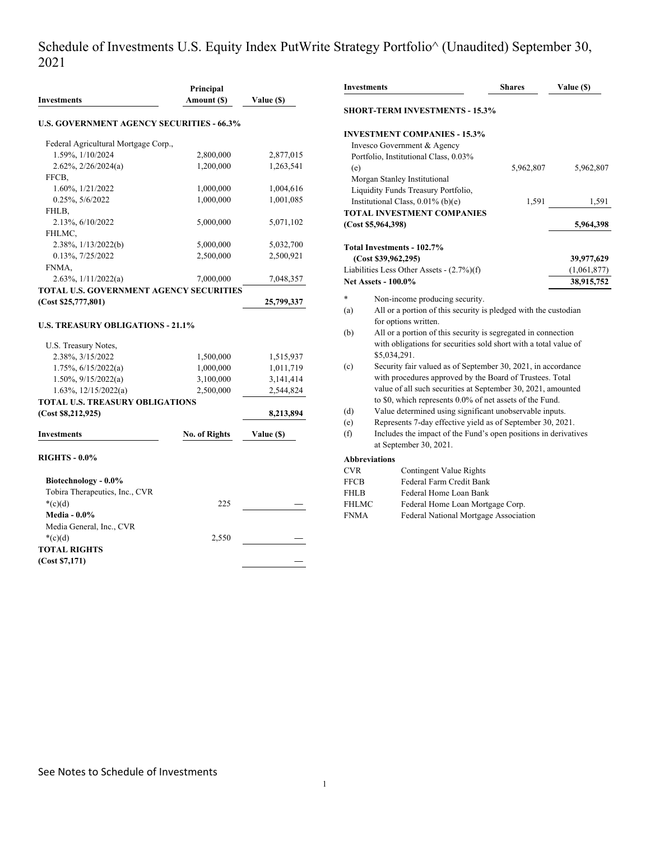#### Schedule of Investments U.S. Equity Index PutWrite Strategy Portfolio^ (Unaudited) September 30, 2021

| Investments                                      | Principal<br>Amount (\$) | Value (\$) |
|--------------------------------------------------|--------------------------|------------|
| <b>U.S. GOVERNMENT AGENCY SECURITIES - 66.3%</b> |                          |            |
|                                                  |                          |            |
| Federal Agricultural Mortgage Corp.,             |                          |            |
| 1.59%, 1/10/2024                                 | 2,800,000                | 2,877,015  |
| 2.62%, 2/26/2024(a)                              | 1,200,000                | 1,263,541  |
| FFCB,                                            |                          |            |
| 1.60%, 1/21/2022                                 | 1,000,000                | 1,004,616  |
| 0.25%, 5/6/2022                                  | 1,000,000                | 1,001,085  |
| FHLB,                                            |                          |            |
| 2.13%, 6/10/2022                                 | 5,000,000                | 5,071,102  |
| FHLMC,                                           |                          |            |
| 2.38%, 1/13/2022(b)                              | 5,000,000                | 5,032,700  |
| 0.13%, 7/25/2022                                 | 2,500,000                | 2,500,921  |
| FNMA,                                            |                          |            |
| 2.63%, 1/11/2022(a)                              | 7,000,000                | 7,048,357  |
| <b>TOTAL U.S. GOVERNMENT AGENCY SECURITIES</b>   |                          |            |
| (Cost \$25,777,801)                              |                          | 25,799,337 |
| <b>U.S. TREASURY OBLIGATIONS - 21.1%</b>         |                          |            |
| U.S. Treasury Notes,                             |                          |            |
| 2.38%, 3/15/2022                                 | 1,500,000                | 1,515,937  |
| 1.75%, 6/15/2022(a)                              | 1,000,000                | 1,011,719  |
| $1.50\%, 9/15/2022(a)$                           | 3,100,000                | 3,141,414  |
| $1.63\%, 12/15/2022(a)$                          | 2,500,000                | 2,544,824  |
| <b>TOTAL U.S. TREASURY OBLIGATIONS</b>           |                          |            |
| (Cost \$8,212,925)                               |                          | 8,213,894  |
| <b>Investments</b>                               | <b>No. of Rights</b>     | Value (\$) |
| <b>RIGHTS - 0.0%</b>                             |                          |            |
| Biotechnology - 0.0%                             |                          |            |
| Tobira Therapeutics, Inc., CVR                   |                          |            |
| $*(c)(d)$                                        | 225                      |            |
| <b>Media - 0.0%</b>                              |                          |            |
|                                                  |                          |            |
| Media General, Inc., CVR                         |                          |            |
| $*(c)(d)$                                        | 2,550                    |            |
| <b>TOTAL RIGHTS</b>                              |                          |            |
| (Cost \$7,171)                                   |                          |            |

|                                     | <b>Investments</b>                                                                                                                | <b>Shares</b> | Value (\$)  |
|-------------------------------------|-----------------------------------------------------------------------------------------------------------------------------------|---------------|-------------|
|                                     | <b>SHORT-TERM INVESTMENTS - 15.3%</b>                                                                                             |               |             |
|                                     | <b>INVESTMENT COMPANIES - 15.3%</b>                                                                                               |               |             |
|                                     | Invesco Government & Agency                                                                                                       |               |             |
|                                     | Portfolio, Institutional Class, 0.03%                                                                                             |               |             |
| (e)                                 |                                                                                                                                   | 5,962,807     | 5,962,807   |
|                                     | Morgan Stanley Institutional                                                                                                      |               |             |
|                                     | Liquidity Funds Treasury Portfolio,                                                                                               |               |             |
|                                     | Institutional Class, $0.01\%$ (b)(e)                                                                                              | 1,591         | 1,591       |
|                                     | <b>TOTAL INVESTMENT COMPANIES</b>                                                                                                 |               |             |
|                                     | (Cost \$5,964,398)                                                                                                                |               | 5,964,398   |
|                                     | Total Investments - 102.7%                                                                                                        |               |             |
|                                     | (Cost \$39,962,295)                                                                                                               |               | 39,977,629  |
|                                     | Liabilities Less Other Assets - (2.7%)(f)                                                                                         |               | (1,061,877) |
|                                     |                                                                                                                                   |               |             |
|                                     | <b>Net Assets - 100.0%</b>                                                                                                        |               |             |
| $\ast$                              |                                                                                                                                   |               | 38,915,752  |
|                                     | Non-income producing security.                                                                                                    |               |             |
| (a)                                 | All or a portion of this security is pledged with the custodian                                                                   |               |             |
|                                     | for options written.                                                                                                              |               |             |
| (b)                                 | All or a portion of this security is segregated in connection<br>with obligations for securities sold short with a total value of |               |             |
|                                     | \$5,034,291.                                                                                                                      |               |             |
| (c)                                 | Security fair valued as of September 30, 2021, in accordance                                                                      |               |             |
|                                     | with procedures approved by the Board of Trustees. Total                                                                          |               |             |
|                                     | value of all such securities at September 30, 2021, amounted                                                                      |               |             |
|                                     | to \$0, which represents 0.0% of net assets of the Fund.                                                                          |               |             |
| (d)                                 | Value determined using significant unobservable inputs.                                                                           |               |             |
|                                     | Represents 7-day effective yield as of September 30, 2021.                                                                        |               |             |
| (e)<br>(f)                          | Includes the impact of the Fund's open positions in derivatives<br>at September 30, 2021.                                         |               |             |
|                                     | <b>Abbreviations</b>                                                                                                              |               |             |
| <b>CVR</b>                          | Contingent Value Rights                                                                                                           |               |             |
| <b>FFCB</b>                         | Federal Farm Credit Bank                                                                                                          |               |             |
|                                     | Federal Home Loan Bank                                                                                                            |               |             |
| FHLB<br><b>FHLMC</b><br><b>FNMA</b> | Federal Home Loan Mortgage Corp.<br>Federal National Mortgage Association                                                         |               |             |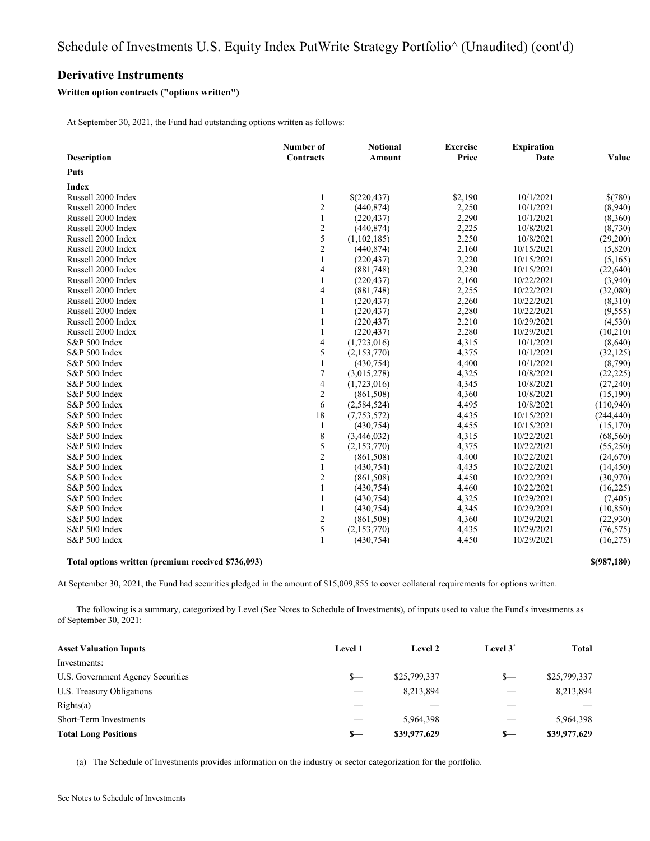#### **Derivative Instruments**

#### **Written option contracts ("options written")**

At September 30, 2021, the Fund had outstanding options written as follows:

|                    | Number of<br>Contracts   | <b>Notional</b><br><b>Amount</b> | <b>Exercise</b><br>Price | <b>Expiration</b><br>Date | Value      |
|--------------------|--------------------------|----------------------------------|--------------------------|---------------------------|------------|
| <b>Description</b> |                          |                                  |                          |                           |            |
| Puts               |                          |                                  |                          |                           |            |
| <b>Index</b>       |                          |                                  |                          |                           |            |
| Russell 2000 Index | 1                        | \$(220,437)                      | \$2,190                  | 10/1/2021                 | \$(780)    |
| Russell 2000 Index | $\mathfrak{2}$           | (440, 874)                       | 2,250                    | 10/1/2021                 | (8,940)    |
| Russell 2000 Index | $\mathbf{1}$             | (220, 437)                       | 2,290                    | 10/1/2021                 | (8,360)    |
| Russell 2000 Index | $rac{2}{5}$              | (440, 874)                       | 2,225                    | 10/8/2021                 | (8,730)    |
| Russell 2000 Index |                          | (1,102,185)                      | 2,250                    | 10/8/2021                 | (29,200)   |
| Russell 2000 Index | $\sqrt{2}$               | (440, 874)                       | 2,160                    | 10/15/2021                | (5,820)    |
| Russell 2000 Index | 1                        | (220, 437)                       | 2,220                    | 10/15/2021                | (5,165)    |
| Russell 2000 Index | 4                        | (881,748)                        | 2,230                    | 10/15/2021                | (22, 640)  |
| Russell 2000 Index | 1                        | (220, 437)                       | 2,160                    | 10/22/2021                | (3,940)    |
| Russell 2000 Index | 4                        | (881,748)                        | 2,255                    | 10/22/2021                | (32,080)   |
| Russell 2000 Index | 1                        | (220, 437)                       | 2,260                    | 10/22/2021                | (8,310)    |
| Russell 2000 Index | $\mathbf{1}$             | (220, 437)                       | 2,280                    | 10/22/2021                | (9, 555)   |
| Russell 2000 Index | $\mathbf{1}$             | (220, 437)                       | 2,210                    | 10/29/2021                | (4,530)    |
| Russell 2000 Index | $\mathbf{1}$             | (220, 437)                       | 2,280                    | 10/29/2021                | (10,210)   |
| S&P 500 Index      | 4                        | (1,723,016)                      | 4,315                    | 10/1/2021                 | (8,640)    |
| S&P 500 Index      | 5                        | (2,153,770)                      | 4,375                    | 10/1/2021                 | (32, 125)  |
| S&P 500 Index      | $\mathbf{1}$             | (430,754)                        | 4,400                    | 10/1/2021                 | (8,790)    |
| S&P 500 Index      | $\boldsymbol{7}$         | (3,015,278)                      | 4,325                    | 10/8/2021                 | (22, 225)  |
| S&P 500 Index      | $\overline{\mathcal{A}}$ | (1,723,016)                      | 4,345                    | 10/8/2021                 | (27, 240)  |
| S&P 500 Index      | $\sqrt{2}$               | (861,508)                        | 4,360                    | 10/8/2021                 | (15,190)   |
| S&P 500 Index      | 6                        | (2, 584, 524)                    | 4,495                    | 10/8/2021                 | (110,940)  |
| S&P 500 Index      | 18                       | (7,753,572)                      | 4,435                    | 10/15/2021                | (244, 440) |
| S&P 500 Index      | 1                        | (430,754)                        | 4,455                    | 10/15/2021                | (15, 170)  |
| S&P 500 Index      | $\,$ $\,$                | (3,446,032)                      | 4,315                    | 10/22/2021                | (68, 560)  |
| S&P 500 Index      | 5                        | (2,153,770)                      | 4,375                    | 10/22/2021                | (55,250)   |
| S&P 500 Index      | $\sqrt{2}$               | (861,508)                        | 4,400                    | 10/22/2021                | (24,670)   |
| S&P 500 Index      | $\mathbf{1}$             | (430, 754)                       | 4,435                    | 10/22/2021                | (14, 450)  |
| S&P 500 Index      | $\sqrt{2}$               | (861,508)                        | 4,450                    | 10/22/2021                | (30,970)   |
| S&P 500 Index      | 1                        | (430,754)                        | 4,460                    | 10/22/2021                | (16, 225)  |
| S&P 500 Index      | 1                        | (430, 754)                       | 4,325                    | 10/29/2021                | (7, 405)   |
| S&P 500 Index      | $\mathbf{1}$             | (430,754)                        | 4,345                    | 10/29/2021                | (10, 850)  |
| S&P 500 Index      | $\sqrt{2}$               | (861, 508)                       | 4,360                    | 10/29/2021                | (22,930)   |
| S&P 500 Index      | $\mathfrak s$            | (2,153,770)                      | 4,435                    | 10/29/2021                | (76, 575)  |
| S&P 500 Index      | $\mathbf{1}$             | (430,754)                        | 4,450                    | 10/29/2021                | (16,275)   |
|                    |                          |                                  |                          |                           |            |

**Total options written (premium received \$736,093) \$(987,180)**

At September 30, 2021, the Fund had securities pledged in the amount of \$15,009,855 to cover collateral requirements for options written.

The following is a summary, categorized by Level (See Notes to Schedule of Investments), of inputs used to value the Fund's investments as of September 30, 2021:

| <b>Asset Valuation Inputs</b>     | <b>Level 1</b> | Level 2      | Level 3 <sup>*</sup> | <b>Total</b> |
|-----------------------------------|----------------|--------------|----------------------|--------------|
| Investments:                      |                |              |                      |              |
| U.S. Government Agency Securities | $S-$           | \$25,799,337 | $S-$                 | \$25,799,337 |
| U.S. Treasury Obligations         | $\sim$         | 8,213,894    | __                   | 8,213,894    |
| Right(s(a))                       |                |              |                      |              |
| Short-Term Investments            |                | 5.964.398    |                      | 5.964.398    |
| <b>Total Long Positions</b>       | $S-$           | \$39,977,629 | $s-$                 | \$39,977,629 |

(a) The Schedule of Investments provides information on the industry or sector categorization for the portfolio.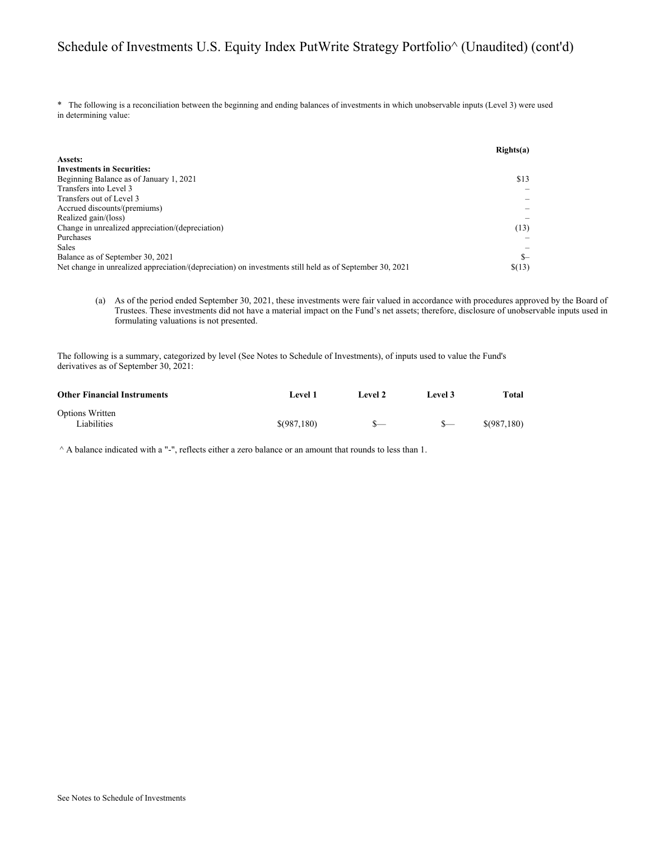#### Schedule of Investments U.S. Equity Index PutWrite Strategy Portfolio^ (Unaudited) (cont'd)

\* The following is a reconciliation between the beginning and ending balances of investments in which unobservable inputs (Level 3) were used in determining value:

|                                                                                                         | Right(s(a)) |
|---------------------------------------------------------------------------------------------------------|-------------|
| Assets:                                                                                                 |             |
| <b>Investments in Securities:</b>                                                                       |             |
| Beginning Balance as of January 1, 2021                                                                 | \$13        |
| Transfers into Level 3                                                                                  |             |
| Transfers out of Level 3                                                                                |             |
| Accrued discounts/(premiums)                                                                            |             |
| Realized gain/(loss)                                                                                    |             |
| Change in unrealized appreciation/(depreciation)                                                        | (13)        |
| Purchases                                                                                               |             |
| <b>Sales</b>                                                                                            |             |
| Balance as of September 30, 2021                                                                        | $S-$        |
| Net change in unrealized appreciation/(depreciation) on investments still held as of September 30, 2021 | \$(13)      |

(a) As of the period ended September 30, 2021, these investments were fair valued in accordance with procedures approved by the Board of Trustees. These investments did not have a material impact on the Fund's net assets; therefore, disclosure of unobservable inputs used in formulating valuations is not presented.

The following is a summary, categorized by level (See Notes to Schedule of Investments), of inputs used to value the Fund's derivatives as of September 30, 2021:

| <b>Other Financial Instruments</b> | Level 1     | Level 2 | Level 3 | Total       |
|------------------------------------|-------------|---------|---------|-------------|
| Options Written<br>Liabilities     | \$(987,180) |         | $S-$    | \$(987,180) |

 $^{\wedge}$  A balance indicated with a "-", reflects either a zero balance or an amount that rounds to less than 1.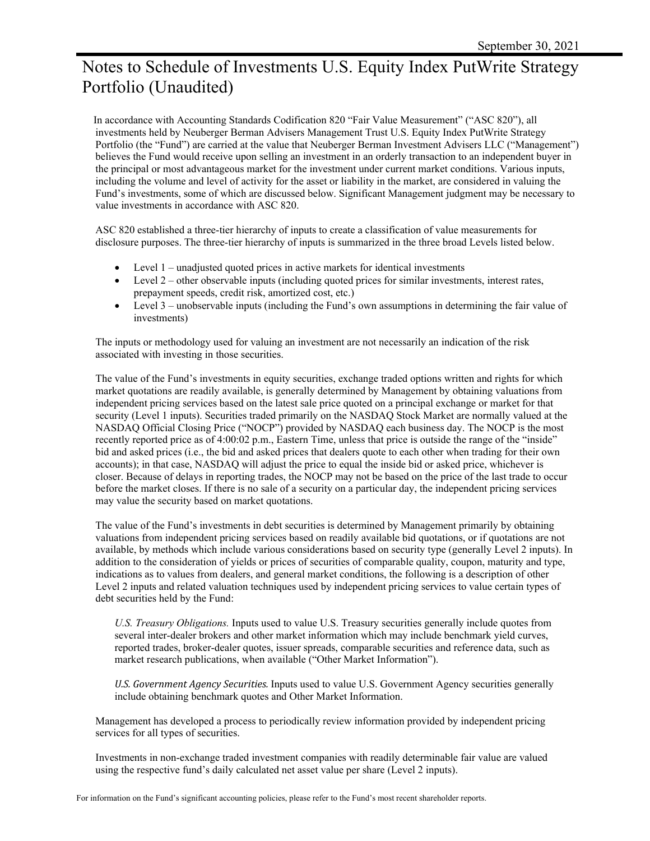## Notes to Schedule of Investments U.S. Equity Index PutWrite Strategy Portfolio (Unaudited)

 In accordance with Accounting Standards Codification 820 "Fair Value Measurement" ("ASC 820"), all investments held by Neuberger Berman Advisers Management Trust U.S. Equity Index PutWrite Strategy Portfolio (the "Fund") are carried at the value that Neuberger Berman Investment Advisers LLC ("Management") believes the Fund would receive upon selling an investment in an orderly transaction to an independent buyer in the principal or most advantageous market for the investment under current market conditions. Various inputs, including the volume and level of activity for the asset or liability in the market, are considered in valuing the Fund's investments, some of which are discussed below. Significant Management judgment may be necessary to value investments in accordance with ASC 820.

ASC 820 established a three-tier hierarchy of inputs to create a classification of value measurements for disclosure purposes. The three-tier hierarchy of inputs is summarized in the three broad Levels listed below.

- Level 1 unadjusted quoted prices in active markets for identical investments
- $\bullet$  Level 2 other observable inputs (including quoted prices for similar investments, interest rates, prepayment speeds, credit risk, amortized cost, etc.)
- Level 3 unobservable inputs (including the Fund's own assumptions in determining the fair value of investments)

The inputs or methodology used for valuing an investment are not necessarily an indication of the risk associated with investing in those securities.

The value of the Fund's investments in equity securities, exchange traded options written and rights for which market quotations are readily available, is generally determined by Management by obtaining valuations from independent pricing services based on the latest sale price quoted on a principal exchange or market for that security (Level 1 inputs). Securities traded primarily on the NASDAQ Stock Market are normally valued at the NASDAQ Official Closing Price ("NOCP") provided by NASDAQ each business day. The NOCP is the most recently reported price as of 4:00:02 p.m., Eastern Time, unless that price is outside the range of the "inside" bid and asked prices (i.e., the bid and asked prices that dealers quote to each other when trading for their own accounts); in that case, NASDAQ will adjust the price to equal the inside bid or asked price, whichever is closer. Because of delays in reporting trades, the NOCP may not be based on the price of the last trade to occur before the market closes. If there is no sale of a security on a particular day, the independent pricing services may value the security based on market quotations.

The value of the Fund's investments in debt securities is determined by Management primarily by obtaining valuations from independent pricing services based on readily available bid quotations, or if quotations are not available, by methods which include various considerations based on security type (generally Level 2 inputs). In addition to the consideration of yields or prices of securities of comparable quality, coupon, maturity and type, indications as to values from dealers, and general market conditions, the following is a description of other Level 2 inputs and related valuation techniques used by independent pricing services to value certain types of debt securities held by the Fund:

*U.S. Treasury Obligations.* Inputs used to value U.S. Treasury securities generally include quotes from several inter-dealer brokers and other market information which may include benchmark yield curves, reported trades, broker-dealer quotes, issuer spreads, comparable securities and reference data, such as market research publications, when available ("Other Market Information").

*U.S. Government Agency Securities.* Inputs used to value U.S. Government Agency securities generally include obtaining benchmark quotes and Other Market Information.

Management has developed a process to periodically review information provided by independent pricing services for all types of securities.

Investments in non-exchange traded investment companies with readily determinable fair value are valued using the respective fund's daily calculated net asset value per share (Level 2 inputs).